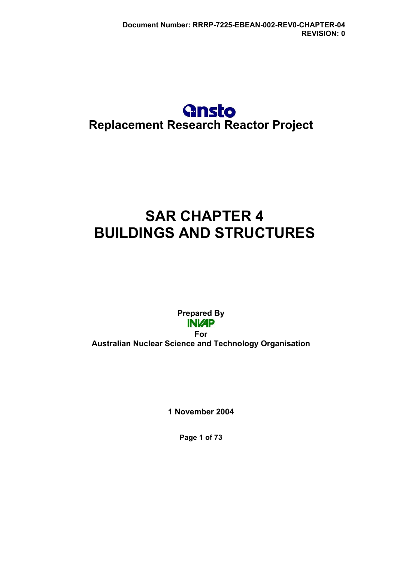## **Gnsto Replacement Research Reactor Project**

# **SAR CHAPTER 4 BUILDINGS AND STRUCTURES**

**Prepared By INVAP** 

**For Australian Nuclear Science and Technology Organisation** 

**1 November 2004** 

**Page 1 of 73**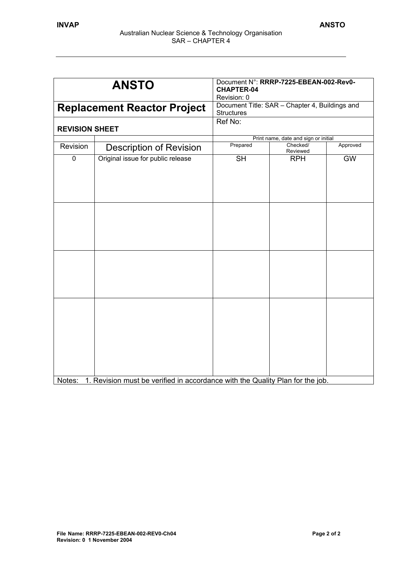| <b>ANSTO</b><br><b>Replacement Reactor Project</b> |                                                                               | Document N°: RRRP-7225-EBEAN-002-Rev0-<br><b>CHAPTER-04</b><br>Revision: 0<br>Document Title: SAR - Chapter 4, Buildings and<br><b>Structures</b> |                      |           |
|----------------------------------------------------|-------------------------------------------------------------------------------|---------------------------------------------------------------------------------------------------------------------------------------------------|----------------------|-----------|
|                                                    |                                                                               |                                                                                                                                                   |                      |           |
|                                                    |                                                                               | Print name, date and sign or initial                                                                                                              |                      |           |
| Revision                                           | <b>Description of Revision</b>                                                | Prepared                                                                                                                                          | Checked/<br>Reviewed | Approved  |
| $\pmb{0}$                                          | Original issue for public release                                             | <b>SH</b>                                                                                                                                         | <b>RPH</b>           | <b>GW</b> |
|                                                    |                                                                               |                                                                                                                                                   |                      |           |
| Notes:                                             | 1. Revision must be verified in accordance with the Quality Plan for the job. |                                                                                                                                                   |                      |           |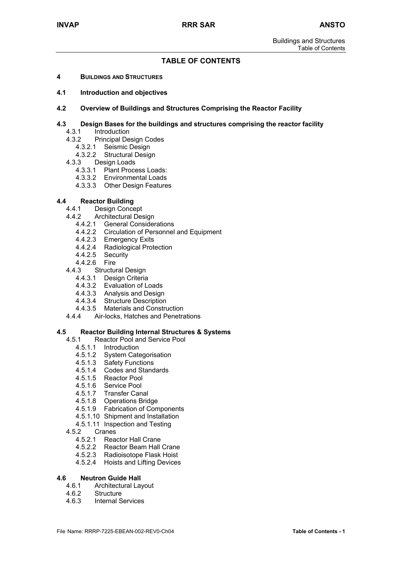## **TABLE OF CONTENTS**

- **4 BUILDINGS AND STRUCTURES**
- **4.1 Introduction and objectives**
- **4.2 Overview of Buildings and Structures Comprising the Reactor Facility**

#### **4.3 Design Bases for the buildings and structures comprising the reactor facility**

- 4.3.1 Introduction
- 4.3.2 Principal Design Codes
	- 4.3.2.1 Seismic Design
	- 4.3.2.2 Structural Design
- 4.3.3 Design Loads
	- 4.3.3.1 Plant Process Loads:
	- 4.3.3.2 Environmental Loads
	- 4.3.3.3 Other Design Features

## **4.4 Reactor Building**

- Design Concept
- 4.4.2 Architectural Design
	- 4.4.2.1 General Considerations
	- 4.4.2.2 Circulation of Personnel and Equipment
	- 4.4.2.3 Emergency Exits
	- 4.4.2.4 Radiological Protection
	- 4.4.2.5 Security
	- 4.4.2.6 Fire
- 4.4.3 Structural Design
	- 4.4.3.1 Design Criteria
	- 4.4.3.2 Evaluation of Loads
	- 4.4.3.3 Analysis and Design
	- 4.4.3.4 Structure Description
	- 4.4.3.5 Materials and Construction
- 4.4.4 Air-locks, Hatches and Penetrations

#### **4.5 Reactor Building Internal Structures & Systems**

- 4.5.1 Reactor Pool and Service Pool
	- 4.5.1.1 Introduction
	- 4.5.1.2 System Categorisation
	- 4.5.1.3 Safety Functions
	- 4.5.1.4 Codes and Standards
	- 4.5.1.5 Reactor Pool
	- 4.5.1.6 Service Pool
	- 4.5.1.7 Transfer Canal
	- 4.5.1.8 Operations Bridge
	- 4.5.1.9 Fabrication of Components
	- 4.5.1.10 Shipment and Installation
	- 4.5.1.11 Inspection and Testing
- 4.5.2 Cranes
	- 4.5.2.1 Reactor Hall Crane
	- 4.5.2.2 Reactor Beam Hall Crane
	- 4.5.2.3 Radioisotope Flask Hoist
	- 4.5.2.4 Hoists and Lifting Devices

#### **4.6 Neutron Guide Hall**

- 4.6.1 Architectural Layout
- 4.6.2 Structure<br>4.6.3 Internal S
- **Internal Services**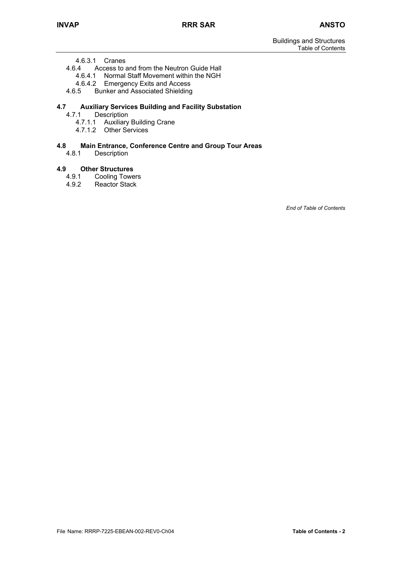4.6.3.1 Cranes

4.6.4 Access to and from the Neutron Guide Hall

- 4.6.4.1 Normal Staff Movement within the NGH
- 4.6.4.2 Emergency Exits and Access
- 4.6.5 Bunker and Associated Shielding

## **4.7 Auxiliary Services Building and Facility Substation**

- **Description** 
	- 4.7.1.1 Auxiliary Building Crane
	- 4.7.1.2 Other Services

#### **4.8 Main Entrance, Conference Centre and Group Tour Areas**

4.8.1 Description

## **4.9 Other Structures**

- 4.9.1 Cooling Towers
- 4.9.2 Reactor Stack

*End of Table of Contents*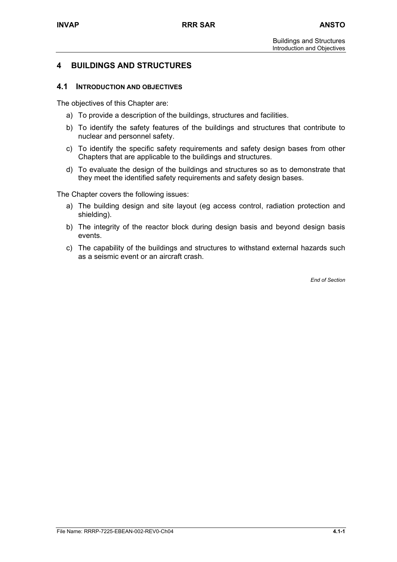## **4 BUILDINGS AND STRUCTURES**

## **4.1 INTRODUCTION AND OBJECTIVES**

The objectives of this Chapter are:

- a) To provide a description of the buildings, structures and facilities.
- b) To identify the safety features of the buildings and structures that contribute to nuclear and personnel safety.
- c) To identify the specific safety requirements and safety design bases from other Chapters that are applicable to the buildings and structures.
- d) To evaluate the design of the buildings and structures so as to demonstrate that they meet the identified safety requirements and safety design bases.

The Chapter covers the following issues:

- a) The building design and site layout (eg access control, radiation protection and shielding).
- b) The integrity of the reactor block during design basis and beyond design basis events.
- c) The capability of the buildings and structures to withstand external hazards such as a seismic event or an aircraft crash.

*End of Section*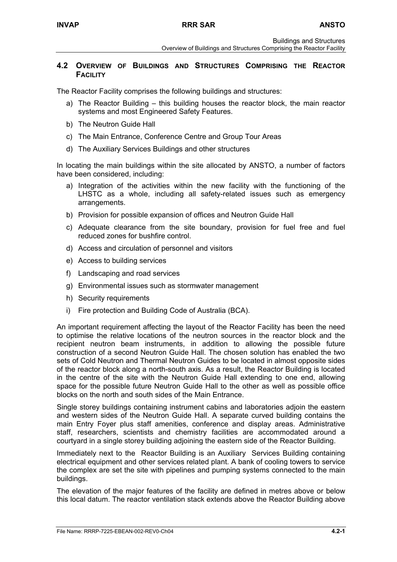### **4.2 OVERVIEW OF BUILDINGS AND STRUCTURES COMPRISING THE REACTOR FACILITY**

The Reactor Facility comprises the following buildings and structures:

- a) The Reactor Building this building houses the reactor block, the main reactor systems and most Engineered Safety Features.
- b) The Neutron Guide Hall
- c) The Main Entrance, Conference Centre and Group Tour Areas
- d) The Auxiliary Services Buildings and other structures

In locating the main buildings within the site allocated by ANSTO, a number of factors have been considered, including:

- a) Integration of the activities within the new facility with the functioning of the LHSTC as a whole, including all safety-related issues such as emergency arrangements.
- b) Provision for possible expansion of offices and Neutron Guide Hall
- c) Adequate clearance from the site boundary, provision for fuel free and fuel reduced zones for bushfire control.
- d) Access and circulation of personnel and visitors
- e) Access to building services
- f) Landscaping and road services
- g) Environmental issues such as stormwater management
- h) Security requirements
- i) Fire protection and Building Code of Australia (BCA).

An important requirement affecting the layout of the Reactor Facility has been the need to optimise the relative locations of the neutron sources in the reactor block and the recipient neutron beam instruments, in addition to allowing the possible future construction of a second Neutron Guide Hall. The chosen solution has enabled the two sets of Cold Neutron and Thermal Neutron Guides to be located in almost opposite sides of the reactor block along a north-south axis. As a result, the Reactor Building is located in the centre of the site with the Neutron Guide Hall extending to one end, allowing space for the possible future Neutron Guide Hall to the other as well as possible office blocks on the north and south sides of the Main Entrance.

Single storey buildings containing instrument cabins and laboratories adjoin the eastern and western sides of the Neutron Guide Hall. A separate curved building contains the main Entry Foyer plus staff amenities, conference and display areas. Administrative staff, researchers, scientists and chemistry facilities are accommodated around a courtyard in a single storey building adjoining the eastern side of the Reactor Building.

Immediately next to the Reactor Building is an Auxiliary Services Building containing electrical equipment and other services related plant. A bank of cooling towers to service the complex are set the site with pipelines and pumping systems connected to the main buildings.

The elevation of the major features of the facility are defined in metres above or below this local datum. The reactor ventilation stack extends above the Reactor Building above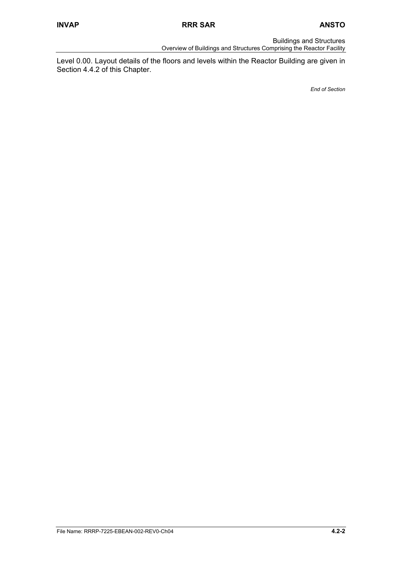Buildings and Structures

Overview of Buildings and Structures Comprising the Reactor Facility

Level 0.00. Layout details of the floors and levels within the Reactor Building are given in Section 4.4.2 of this Chapter.

*End of Section*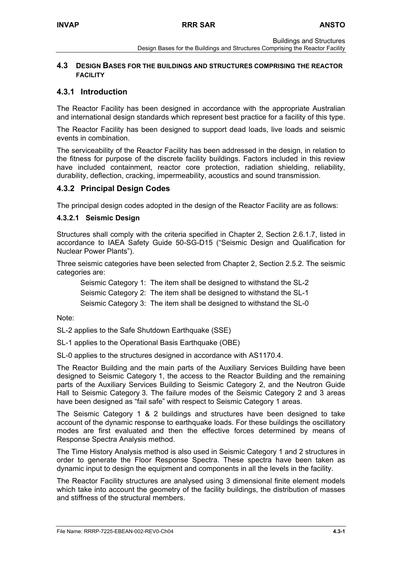## **4.3 DESIGN BASES FOR THE BUILDINGS AND STRUCTURES COMPRISING THE REACTOR FACILITY**

## **4.3.1 Introduction**

The Reactor Facility has been designed in accordance with the appropriate Australian and international design standards which represent best practice for a facility of this type.

The Reactor Facility has been designed to support dead loads, live loads and seismic events in combination.

The serviceability of the Reactor Facility has been addressed in the design, in relation to the fitness for purpose of the discrete facility buildings. Factors included in this review have included containment, reactor core protection, radiation shielding, reliability, durability, deflection, cracking, impermeability, acoustics and sound transmission.

## **4.3.2 Principal Design Codes**

The principal design codes adopted in the design of the Reactor Facility are as follows:

## **4.3.2.1 Seismic Design**

Structures shall comply with the criteria specified in Chapter 2, Section 2.6.1.7, listed in accordance to IAEA Safety Guide 50-SG-D15 ("Seismic Design and Qualification for Nuclear Power Plants").

Three seismic categories have been selected from Chapter 2, Section 2.5.2. The seismic categories are:

Seismic Category 1: The item shall be designed to withstand the SL-2 Seismic Category 2: The item shall be designed to withstand the SL-1

Seismic Category 3: The item shall be designed to withstand the SL-0

Note:

SL-2 applies to the Safe Shutdown Earthquake (SSE)

SL-1 applies to the Operational Basis Earthquake (OBE)

SL-0 applies to the structures designed in accordance with AS1170.4.

The Reactor Building and the main parts of the Auxiliary Services Building have been designed to Seismic Category 1, the access to the Reactor Building and the remaining parts of the Auxiliary Services Building to Seismic Category 2, and the Neutron Guide Hall to Seismic Category 3. The failure modes of the Seismic Category 2 and 3 areas have been designed as "fail safe" with respect to Seismic Category 1 areas.

The Seismic Category 1 & 2 buildings and structures have been designed to take account of the dynamic response to earthquake loads. For these buildings the oscillatory modes are first evaluated and then the effective forces determined by means of Response Spectra Analysis method.

The Time History Analysis method is also used in Seismic Category 1 and 2 structures in order to generate the Floor Response Spectra. These spectra have been taken as dynamic input to design the equipment and components in all the levels in the facility.

The Reactor Facility structures are analysed using 3 dimensional finite element models which take into account the geometry of the facility buildings, the distribution of masses and stiffness of the structural members.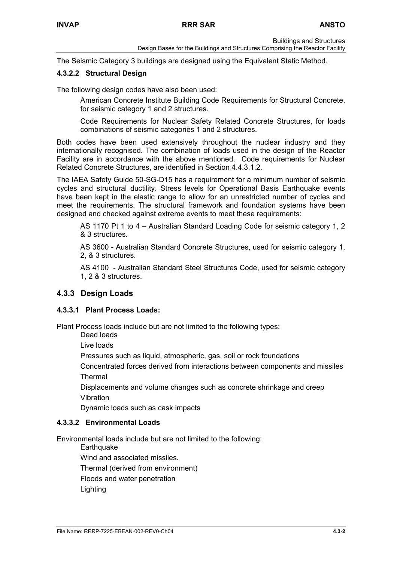Buildings and Structures

The Seismic Category 3 buildings are designed using the Equivalent Static Method.

## **4.3.2.2 Structural Design**

The following design codes have also been used:

American Concrete Institute Building Code Requirements for Structural Concrete, for seismic category 1 and 2 structures.

Code Requirements for Nuclear Safety Related Concrete Structures, for loads combinations of seismic categories 1 and 2 structures.

Both codes have been used extensively throughout the nuclear industry and they internationally recognised. The combination of loads used in the design of the Reactor Facility are in accordance with the above mentioned. Code requirements for Nuclear Related Concrete Structures, are identified in Section 4.4.3.1.2.

The IAEA Safety Guide 50-SG-D15 has a requirement for a minimum number of seismic cycles and structural ductility. Stress levels for Operational Basis Earthquake events have been kept in the elastic range to allow for an unrestricted number of cycles and meet the requirements. The structural framework and foundation systems have been designed and checked against extreme events to meet these requirements:

AS 1170 Pt 1 to 4 – Australian Standard Loading Code for seismic category 1, 2 & 3 structures.

AS 3600 - Australian Standard Concrete Structures, used for seismic category 1, 2, & 3 structures.

AS 4100 - Australian Standard Steel Structures Code, used for seismic category 1, 2 & 3 structures.

## **4.3.3 Design Loads**

## **4.3.3.1 Plant Process Loads:**

Plant Process loads include but are not limited to the following types:

Dead loads

Live loads

Pressures such as liquid, atmospheric, gas, soil or rock foundations

Concentrated forces derived from interactions between components and missiles Thermal

Displacements and volume changes such as concrete shrinkage and creep Vibration

Dynamic loads such as cask impacts

## **4.3.3.2 Environmental Loads**

Environmental loads include but are not limited to the following:

**Earthquake** 

Wind and associated missiles.

Thermal (derived from environment)

Floods and water penetration

Lighting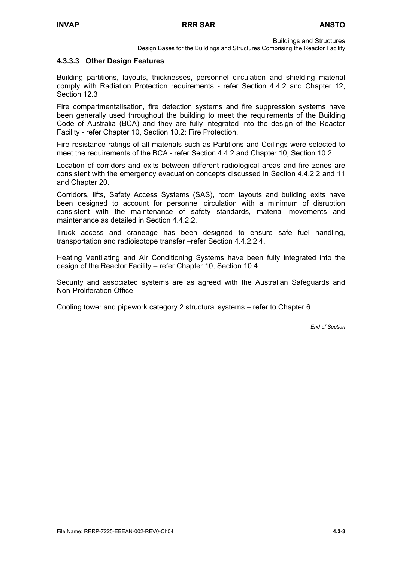Buildings and Structures

#### **4.3.3.3 Other Design Features**

Building partitions, layouts, thicknesses, personnel circulation and shielding material comply with Radiation Protection requirements - refer Section 4.4.2 and Chapter 12, Section 12.3

Fire compartmentalisation, fire detection systems and fire suppression systems have been generally used throughout the building to meet the requirements of the Building Code of Australia (BCA) and they are fully integrated into the design of the Reactor Facility - refer Chapter 10, Section 10.2: Fire Protection.

Fire resistance ratings of all materials such as Partitions and Ceilings were selected to meet the requirements of the BCA - refer Section 4.4.2 and Chapter 10, Section 10.2.

Location of corridors and exits between different radiological areas and fire zones are consistent with the emergency evacuation concepts discussed in Section 4.4.2.2 and 11 and Chapter 20.

Corridors, lifts, Safety Access Systems (SAS), room layouts and building exits have been designed to account for personnel circulation with a minimum of disruption consistent with the maintenance of safety standards, material movements and maintenance as detailed in Section 4.4.2.2.

Truck access and craneage has been designed to ensure safe fuel handling, transportation and radioisotope transfer –refer Section 4.4.2.2.4.

Heating Ventilating and Air Conditioning Systems have been fully integrated into the design of the Reactor Facility – refer Chapter 10, Section 10.4

Security and associated systems are as agreed with the Australian Safeguards and Non-Proliferation Office.

Cooling tower and pipework category 2 structural systems – refer to Chapter 6.

*End of Section*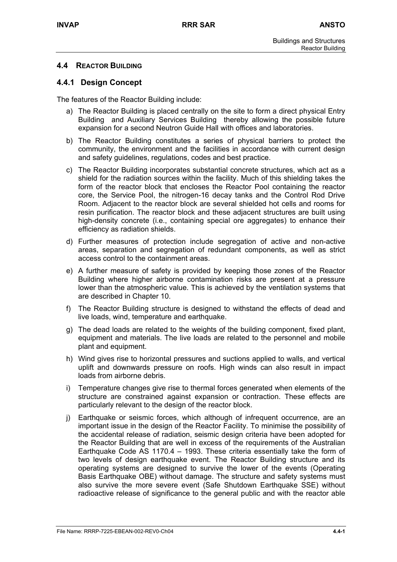## **4.4 REACTOR BUILDING**

## **4.4.1 Design Concept**

The features of the Reactor Building include:

- a) The Reactor Building is placed centrally on the site to form a direct physical Entry Building and Auxiliary Services Building thereby allowing the possible future expansion for a second Neutron Guide Hall with offices and laboratories.
- b) The Reactor Building constitutes a series of physical barriers to protect the community, the environment and the facilities in accordance with current design and safety guidelines, regulations, codes and best practice.
- c) The Reactor Building incorporates substantial concrete structures, which act as a shield for the radiation sources within the facility. Much of this shielding takes the form of the reactor block that encloses the Reactor Pool containing the reactor core, the Service Pool, the nitrogen-16 decay tanks and the Control Rod Drive Room. Adjacent to the reactor block are several shielded hot cells and rooms for resin purification. The reactor block and these adjacent structures are built using high-density concrete (i.e., containing special ore aggregates) to enhance their efficiency as radiation shields.
- d) Further measures of protection include segregation of active and non-active areas, separation and segregation of redundant components, as well as strict access control to the containment areas.
- e) A further measure of safety is provided by keeping those zones of the Reactor Building where higher airborne contamination risks are present at a pressure lower than the atmospheric value. This is achieved by the ventilation systems that are described in Chapter 10.
- f) The Reactor Building structure is designed to withstand the effects of dead and live loads, wind, temperature and earthquake.
- g) The dead loads are related to the weights of the building component, fixed plant, equipment and materials. The live loads are related to the personnel and mobile plant and equipment.
- h) Wind gives rise to horizontal pressures and suctions applied to walls, and vertical uplift and downwards pressure on roofs. High winds can also result in impact loads from airborne debris.
- i) Temperature changes give rise to thermal forces generated when elements of the structure are constrained against expansion or contraction. These effects are particularly relevant to the design of the reactor block.
- j) Earthquake or seismic forces, which although of infrequent occurrence, are an important issue in the design of the Reactor Facility. To minimise the possibility of the accidental release of radiation, seismic design criteria have been adopted for the Reactor Building that are well in excess of the requirements of the Australian Earthquake Code AS 1170.4 – 1993. These criteria essentially take the form of two levels of design earthquake event. The Reactor Building structure and its operating systems are designed to survive the lower of the events (Operating Basis Earthquake OBE) without damage. The structure and safety systems must also survive the more severe event (Safe Shutdown Earthquake SSE) without radioactive release of significance to the general public and with the reactor able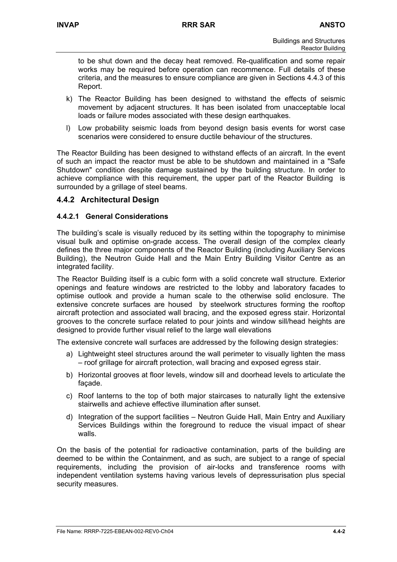to be shut down and the decay heat removed. Re-qualification and some repair works may be required before operation can recommence. Full details of these criteria, and the measures to ensure compliance are given in Sections 4.4.3 of this Report.

- k) The Reactor Building has been designed to withstand the effects of seismic movement by adjacent structures. It has been isolated from unacceptable local loads or failure modes associated with these design earthquakes.
- l) Low probability seismic loads from beyond design basis events for worst case scenarios were considered to ensure ductile behaviour of the structures.

The Reactor Building has been designed to withstand effects of an aircraft. In the event of such an impact the reactor must be able to be shutdown and maintained in a "Safe Shutdown" condition despite damage sustained by the building structure. In order to achieve compliance with this requirement, the upper part of the Reactor Building is surrounded by a grillage of steel beams.

## **4.4.2 Architectural Design**

### **4.4.2.1 General Considerations**

The building's scale is visually reduced by its setting within the topography to minimise visual bulk and optimise on-grade access. The overall design of the complex clearly defines the three major components of the Reactor Building (including Auxiliary Services Building), the Neutron Guide Hall and the Main Entry Building Visitor Centre as an integrated facility.

The Reactor Building itself is a cubic form with a solid concrete wall structure. Exterior openings and feature windows are restricted to the lobby and laboratory facades to optimise outlook and provide a human scale to the otherwise solid enclosure. The extensive concrete surfaces are housed by steelwork structures forming the rooftop aircraft protection and associated wall bracing, and the exposed egress stair. Horizontal grooves to the concrete surface related to pour joints and window sill/head heights are designed to provide further visual relief to the large wall elevations

The extensive concrete wall surfaces are addressed by the following design strategies:

- a) Lightweight steel structures around the wall perimeter to visually lighten the mass – roof grillage for aircraft protection, wall bracing and exposed egress stair.
- b) Horizontal grooves at floor levels, window sill and doorhead levels to articulate the façade.
- c) Roof lanterns to the top of both major staircases to naturally light the extensive stairwells and achieve effective illumination after sunset.
- d) Integration of the support facilities Neutron Guide Hall, Main Entry and Auxiliary Services Buildings within the foreground to reduce the visual impact of shear walls.

On the basis of the potential for radioactive contamination, parts of the building are deemed to be within the Containment, and as such, are subject to a range of special requirements, including the provision of air-locks and transference rooms with independent ventilation systems having various levels of depressurisation plus special security measures.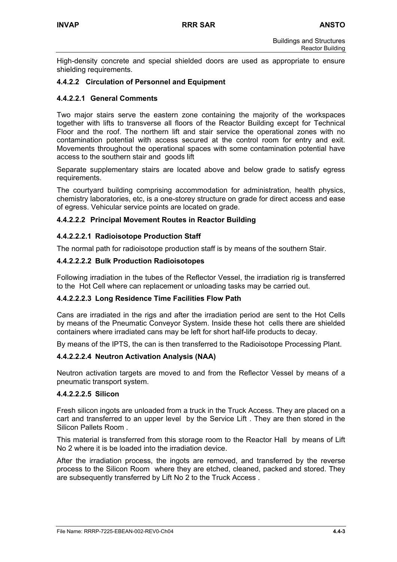High-density concrete and special shielded doors are used as appropriate to ensure shielding requirements.

## **4.4.2.2 Circulation of Personnel and Equipment**

#### **4.4.2.2.1 General Comments**

Two major stairs serve the eastern zone containing the majority of the workspaces together with lifts to transverse all floors of the Reactor Building except for Technical Floor and the roof. The northern lift and stair service the operational zones with no contamination potential with access secured at the control room for entry and exit. Movements throughout the operational spaces with some contamination potential have access to the southern stair and goods lift

Separate supplementary stairs are located above and below grade to satisfy egress requirements.

The courtyard building comprising accommodation for administration, health physics, chemistry laboratories, etc, is a one-storey structure on grade for direct access and ease of egress. Vehicular service points are located on grade.

### **4.4.2.2.2 Principal Movement Routes in Reactor Building**

#### **4.4.2.2.2.1 Radioisotope Production Staff**

The normal path for radioisotope production staff is by means of the southern Stair.

#### **4.4.2.2.2.2 Bulk Production Radioisotopes**

Following irradiation in the tubes of the Reflector Vessel, the irradiation rig is transferred to the Hot Cell where can replacement or unloading tasks may be carried out.

#### **4.4.2.2.2.3 Long Residence Time Facilities Flow Path**

Cans are irradiated in the rigs and after the irradiation period are sent to the Hot Cells by means of the Pneumatic Conveyor System. Inside these hot cells there are shielded containers where irradiated cans may be left for short half-life products to decay.

By means of the IPTS, the can is then transferred to the Radioisotope Processing Plant.

#### **4.4.2.2.2.4 Neutron Activation Analysis (NAA)**

Neutron activation targets are moved to and from the Reflector Vessel by means of a pneumatic transport system.

#### **4.4.2.2.2.5 Silicon**

Fresh silicon ingots are unloaded from a truck in the Truck Access. They are placed on a cart and transferred to an upper level by the Service Lift . They are then stored in the Silicon Pallets Room .

This material is transferred from this storage room to the Reactor Hall by means of Lift No 2 where it is be loaded into the irradiation device.

After the irradiation process, the ingots are removed, and transferred by the reverse process to the Silicon Room where they are etched, cleaned, packed and stored. They are subsequently transferred by Lift No 2 to the Truck Access .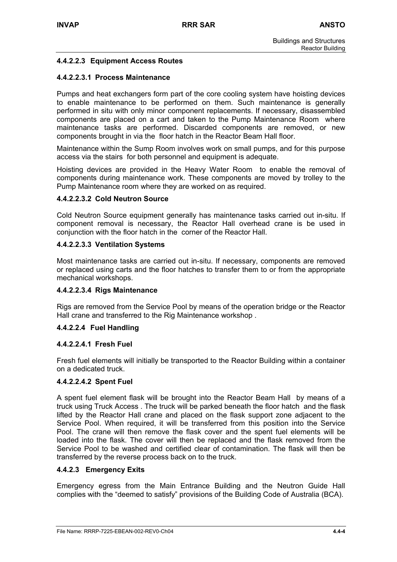## **4.4.2.2.3 Equipment Access Routes**

## **4.4.2.2.3.1 Process Maintenance**

Pumps and heat exchangers form part of the core cooling system have hoisting devices to enable maintenance to be performed on them. Such maintenance is generally performed in situ with only minor component replacements. If necessary, disassembled components are placed on a cart and taken to the Pump Maintenance Room where maintenance tasks are performed. Discarded components are removed, or new components brought in via the floor hatch in the Reactor Beam Hall floor.

Maintenance within the Sump Room involves work on small pumps, and for this purpose access via the stairs for both personnel and equipment is adequate.

Hoisting devices are provided in the Heavy Water Room to enable the removal of components during maintenance work. These components are moved by trolley to the Pump Maintenance room where they are worked on as required.

#### **4.4.2.2.3.2 Cold Neutron Source**

Cold Neutron Source equipment generally has maintenance tasks carried out in-situ. If component removal is necessary, the Reactor Hall overhead crane is be used in conjunction with the floor hatch in the corner of the Reactor Hall.

### **4.4.2.2.3.3 Ventilation Systems**

Most maintenance tasks are carried out in-situ. If necessary, components are removed or replaced using carts and the floor hatches to transfer them to or from the appropriate mechanical workshops.

#### **4.4.2.2.3.4 Rigs Maintenance**

Rigs are removed from the Service Pool by means of the operation bridge or the Reactor Hall crane and transferred to the Rig Maintenance workshop .

#### **4.4.2.2.4 Fuel Handling**

#### **4.4.2.2.4.1 Fresh Fuel**

Fresh fuel elements will initially be transported to the Reactor Building within a container on a dedicated truck.

#### **4.4.2.2.4.2 Spent Fuel**

A spent fuel element flask will be brought into the Reactor Beam Hall by means of a truck using Truck Access . The truck will be parked beneath the floor hatch and the flask lifted by the Reactor Hall crane and placed on the flask support zone adjacent to the Service Pool. When required, it will be transferred from this position into the Service Pool. The crane will then remove the flask cover and the spent fuel elements will be loaded into the flask. The cover will then be replaced and the flask removed from the Service Pool to be washed and certified clear of contamination. The flask will then be transferred by the reverse process back on to the truck.

#### **4.4.2.3 Emergency Exits**

Emergency egress from the Main Entrance Building and the Neutron Guide Hall complies with the "deemed to satisfy" provisions of the Building Code of Australia (BCA).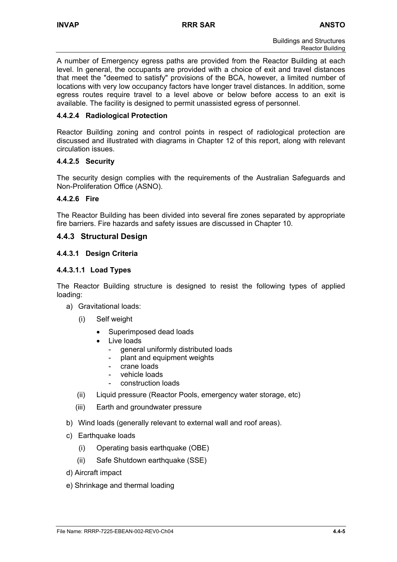A number of Emergency egress paths are provided from the Reactor Building at each level. In general, the occupants are provided with a choice of exit and travel distances that meet the "deemed to satisfy" provisions of the BCA, however, a limited number of locations with very low occupancy factors have longer travel distances. In addition, some egress routes require travel to a level above or below before access to an exit is available. The facility is designed to permit unassisted egress of personnel.

## **4.4.2.4 Radiological Protection**

Reactor Building zoning and control points in respect of radiological protection are discussed and illustrated with diagrams in Chapter 12 of this report, along with relevant circulation issues.

## **4.4.2.5 Security**

The security design complies with the requirements of the Australian Safeguards and Non-Proliferation Office (ASNO).

## **4.4.2.6 Fire**

The Reactor Building has been divided into several fire zones separated by appropriate fire barriers. Fire hazards and safety issues are discussed in Chapter 10.

## **4.4.3 Structural Design**

## **4.4.3.1 Design Criteria**

## **4.4.3.1.1 Load Types**

The Reactor Building structure is designed to resist the following types of applied loading:

- a) Gravitational loads:
	- (i) Self weight
		- Superimposed dead loads
		- Live loads
			- general uniformly distributed loads
			- plant and equipment weights
			- crane loads
			- vehicle loads
			- construction loads
	- (ii) Liquid pressure (Reactor Pools, emergency water storage, etc)
	- (iii) Earth and groundwater pressure
- b) Wind loads (generally relevant to external wall and roof areas).
- c) Earthquake loads
	- (i) Operating basis earthquake (OBE)
	- (ii) Safe Shutdown earthquake (SSE)
- d) Aircraft impact
- e) Shrinkage and thermal loading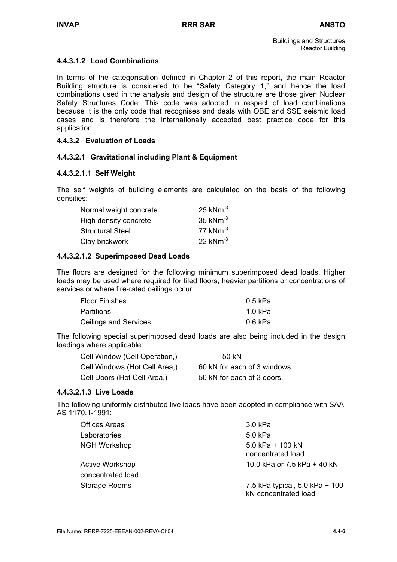## **4.4.3.1.2 Load Combinations**

In terms of the categorisation defined in Chapter 2 of this report, the main Reactor Building structure is considered to be "Safety Category 1," and hence the load combinations used in the analysis and design of the structure are those given Nuclear Safety Structures Code. This code was adopted in respect of load combinations because it is the only code that recognises and deals with OBE and SSE seismic load cases and is therefore the internationally accepted best practice code for this application.

## **4.4.3.2 Evaluation of Loads**

## **4.4.3.2.1 Gravitational including Plant & Equipment**

### **4.4.3.2.1.1 Self Weight**

The self weights of building elements are calculated on the basis of the following densities:

| Normal weight concrete | $25$ kNm <sup>-3</sup> |
|------------------------|------------------------|
| High density concrete  | 35 $kNm^{-3}$          |
| Structural Steel       | 77 $kNm^{-3}$          |
| Clay brickwork         | 22 $kNm^{-3}$          |

### **4.4.3.2.1.2 Superimposed Dead Loads**

The floors are designed for the following minimum superimposed dead loads. Higher loads may be used where required for tiled floors, heavier partitions or concentrations of services or where fire-rated ceilings occur.

| <b>Floor Finishes</b> | 0.5 kPa |
|-----------------------|---------|
| <b>Partitions</b>     | 1.0 kPa |
| Ceilings and Services | 0.6 kPa |

The following special superimposed dead loads are also being included in the design loadings where applicable:

| Cell Window (Cell Operation,) | 50 kN                        |
|-------------------------------|------------------------------|
| Cell Windows (Hot Cell Area,) | 60 kN for each of 3 windows. |
| Cell Doors (Hot Cell Area,)   | 50 kN for each of 3 doors.   |

## **4.4.3.2.1.3 Live Loads**

The following uniformly distributed live loads have been adopted in compliance with SAA AS 1170.1-1991:

| <b>Offices Areas</b>   | 3.0 kPa                                                |
|------------------------|--------------------------------------------------------|
| Laboratories           | 5.0 kPa                                                |
| <b>NGH Workshop</b>    | 5.0 kPa + $100$ kN<br>concentrated load                |
| <b>Active Workshop</b> | 10.0 kPa or 7.5 kPa + 40 kN                            |
| concentrated load      |                                                        |
| Storage Rooms          | 7.5 kPa typical, 5.0 kPa + 100<br>kN concentrated load |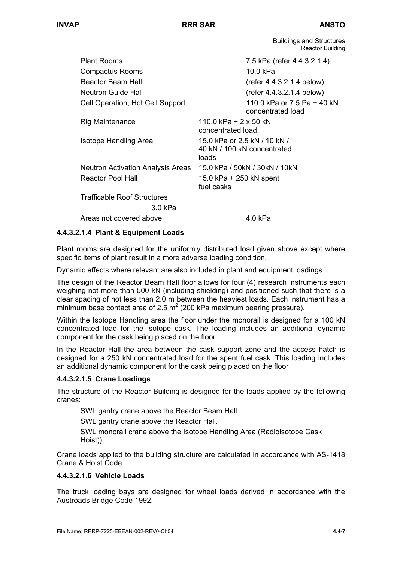Buildings and Structures Reactor Building

| <b>Plant Rooms</b>                 | 7.5 kPa (refer 4.4.3.2.1.4)                                          |  |
|------------------------------------|----------------------------------------------------------------------|--|
| Compactus Rooms                    | 10.0 kPa                                                             |  |
| Reactor Beam Hall                  | $(refer 4.4.3.2.1.4$ below)                                          |  |
| Neutron Guide Hall                 | $(refer 4.4.3.2.1.4$ below)                                          |  |
| Cell Operation, Hot Cell Support   | 110.0 kPa or 7.5 Pa + 40 kN<br>concentrated load                     |  |
| Rig Maintenance                    | 110.0 kPa + 2 x 50 kN<br>concentrated load                           |  |
| Isotope Handling Area              | 15.0 kPa or 2.5 kN / 10 kN /<br>40 kN / 100 kN concentrated<br>loads |  |
| Neutron Activation Analysis Areas  | 15.0 kPa / 50kN / 30kN / 10kN                                        |  |
| Reactor Pool Hall                  | 15.0 kPa + 250 kN spent<br>fuel casks                                |  |
| <b>Trafficable Roof Structures</b> |                                                                      |  |
| 3.0 kPa                            |                                                                      |  |
| Areas not covered above            | 4.0 kPa                                                              |  |

### **4.4.3.2.1.4 Plant & Equipment Loads**

Plant rooms are designed for the uniformly distributed load given above except where specific items of plant result in a more adverse loading condition.

Dynamic effects where relevant are also included in plant and equipment loadings.

The design of the Reactor Beam Hall floor allows for four (4) research instruments each weighing not more than 500 kN (including shielding) and positioned such that there is a clear spacing of not less than 2.0 m between the heaviest loads. Each instrument has a minimum base contact area of 2.5  $m^2$  (200 kPa maximum bearing pressure).

Within the Isotope Handling area the floor under the monorail is designed for a 100 kN concentrated load for the isotope cask. The loading includes an additional dynamic component for the cask being placed on the floor

In the Reactor Hall the area between the cask support zone and the access hatch is designed for a 250 kN concentrated load for the spent fuel cask. This loading includes an additional dynamic component for the cask being placed on the floor

#### **4.4.3.2.1.5 Crane Loadings**

The structure of the Reactor Building is designed for the loads applied by the following cranes:

SWL gantry crane above the Reactor Beam Hall.

SWL gantry crane above the Reactor Hall.

SWL monorail crane above the Isotope Handling Area (Radioisotope Cask Hoist)).

Crane loads applied to the building structure are calculated in accordance with AS-1418 Crane & Hoist Code.

#### **4.4.3.2.1.6 Vehicle Loads**

The truck loading bays are designed for wheel loads derived in accordance with the Austroads Bridge Code 1992.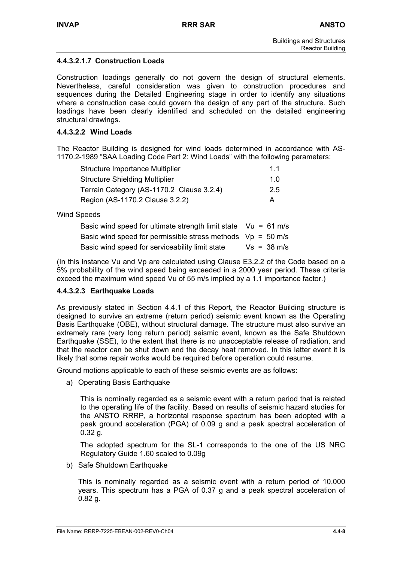## **4.4.3.2.1.7 Construction Loads**

Construction loadings generally do not govern the design of structural elements. Nevertheless, careful consideration was given to construction procedures and sequences during the Detailed Engineering stage in order to identify any situations where a construction case could govern the design of any part of the structure. Such loadings have been clearly identified and scheduled on the detailed engineering structural drawings.

### **4.4.3.2.2 Wind Loads**

The Reactor Building is designed for wind loads determined in accordance with AS-1170.2-1989 "SAA Loading Code Part 2: Wind Loads" with the following parameters:

| Structure Importance Multiplier           | 11  |
|-------------------------------------------|-----|
| <b>Structure Shielding Multiplier</b>     | 1 O |
| Terrain Category (AS-1170.2 Clause 3.2.4) | 2.5 |
| Region (AS-1170.2 Clause 3.2.2)           | A   |

Wind Speeds

| Basic wind speed for ultimate strength limit state $Vu = 61$ m/s |               |
|------------------------------------------------------------------|---------------|
| Basic wind speed for permissible stress methods $Vp = 50$ m/s    |               |
| Basic wind speed for serviceability limit state                  | $Vs = 38 m/s$ |

(In this instance Vu and Vp are calculated using Clause E3.2.2 of the Code based on a 5% probability of the wind speed being exceeded in a 2000 year period. These criteria exceed the maximum wind speed Vu of 55 m/s implied by a 1.1 importance factor.)

## **4.4.3.2.3 Earthquake Loads**

As previously stated in Section 4.4.1 of this Report, the Reactor Building structure is designed to survive an extreme (return period) seismic event known as the Operating Basis Earthquake (OBE), without structural damage. The structure must also survive an extremely rare (very long return period) seismic event, known as the Safe Shutdown Earthquake (SSE), to the extent that there is no unacceptable release of radiation, and that the reactor can be shut down and the decay heat removed. In this latter event it is likely that some repair works would be required before operation could resume.

Ground motions applicable to each of these seismic events are as follows:

a) Operating Basis Earthquake

This is nominally regarded as a seismic event with a return period that is related to the operating life of the facility. Based on results of seismic hazard studies for the ANSTO RRRP, a horizontal response spectrum has been adopted with a peak ground acceleration (PGA) of 0.09 g and a peak spectral acceleration of 0.32 g.

The adopted spectrum for the SL-1 corresponds to the one of the US NRC Regulatory Guide 1.60 scaled to 0.09g

b) Safe Shutdown Earthquake

This is nominally regarded as a seismic event with a return period of 10,000 years. This spectrum has a PGA of 0.37 g and a peak spectral acceleration of 0.82 g.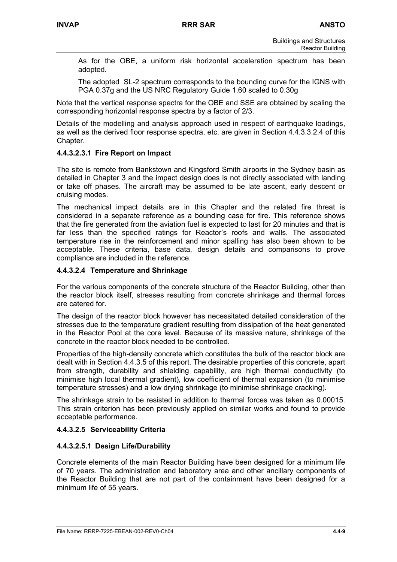As for the OBE, a uniform risk horizontal acceleration spectrum has been adopted.

The adopted SL-2 spectrum corresponds to the bounding curve for the IGNS with PGA 0.37g and the US NRC Regulatory Guide 1.60 scaled to 0.30g

Note that the vertical response spectra for the OBE and SSE are obtained by scaling the corresponding horizontal response spectra by a factor of 2/3.

Details of the modelling and analysis approach used in respect of earthquake loadings, as well as the derived floor response spectra, etc. are given in Section 4.4.3.3.2.4 of this Chapter.

### **4.4.3.2.3.1 Fire Report on Impact**

The site is remote from Bankstown and Kingsford Smith airports in the Sydney basin as detailed in Chapter 3 and the impact design does is not directly associated with landing or take off phases. The aircraft may be assumed to be late ascent, early descent or cruising modes.

The mechanical impact details are in this Chapter and the related fire threat is considered in a separate reference as a bounding case for fire. This reference shows that the fire generated from the aviation fuel is expected to last for 20 minutes and that is far less than the specified ratings for Reactor's roofs and walls. The associated temperature rise in the reinforcement and minor spalling has also been shown to be acceptable. These criteria, base data, design details and comparisons to prove compliance are included in the reference.

### **4.4.3.2.4 Temperature and Shrinkage**

For the various components of the concrete structure of the Reactor Building, other than the reactor block itself, stresses resulting from concrete shrinkage and thermal forces are catered for.

The design of the reactor block however has necessitated detailed consideration of the stresses due to the temperature gradient resulting from dissipation of the heat generated in the Reactor Pool at the core level. Because of its massive nature, shrinkage of the concrete in the reactor block needed to be controlled.

Properties of the high-density concrete which constitutes the bulk of the reactor block are dealt with in Section 4.4.3.5 of this report. The desirable properties of this concrete, apart from strength, durability and shielding capability, are high thermal conductivity (to minimise high local thermal gradient), low coefficient of thermal expansion (to minimise temperature stresses) and a low drying shrinkage (to minimise shrinkage cracking).

The shrinkage strain to be resisted in addition to thermal forces was taken as 0.00015. This strain criterion has been previously applied on similar works and found to provide acceptable performance.

## **4.4.3.2.5 Serviceability Criteria**

#### **4.4.3.2.5.1 Design Life/Durability**

Concrete elements of the main Reactor Building have been designed for a minimum life of 70 years. The administration and laboratory area and other ancillary components of the Reactor Building that are not part of the containment have been designed for a minimum life of 55 years.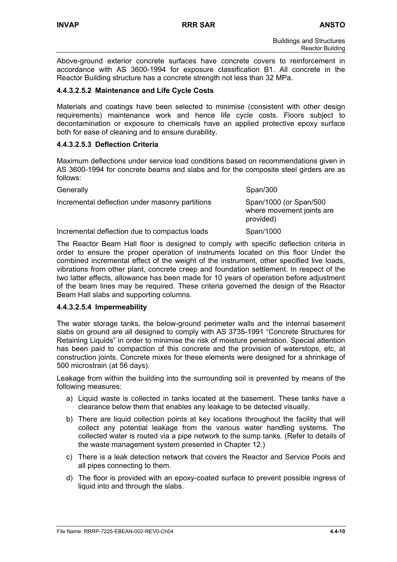Above-ground exterior concrete surfaces have concrete covers to reinforcement in accordance with AS 3600-1994 for exposure classification B1. All concrete in the Reactor Building structure has a concrete strength not less than 32 MPa.

## **4.4.3.2.5.2 Maintenance and Life Cycle Costs**

Materials and coatings have been selected to minimise (consistent with other design requirements) maintenance work and hence life cycle costs. Floors subject to decontamination or exposure to chemicals have an applied protective epoxy surface both for ease of cleaning and to ensure durability.

## **4.4.3.2.5.3 Deflection Criteria**

Maximum deflections under service load conditions based on recommendations given in AS 3600-1994 for concrete beams and slabs and for the composite steel girders are as follows:

| Generally                                       | Span/300                                                         |
|-------------------------------------------------|------------------------------------------------------------------|
| Incremental deflection under masonry partitions | Span/1000 (or Span/500<br>where movement joints are<br>provided) |
| Incremental deflection due to compactus loads   | Span/1000                                                        |

The Reactor Beam Hall floor is designed to comply with specific deflection criteria in order to ensure the proper operation of instruments located on this floor Under the combined incremental effect of the weight of the instrument, other specified live loads, vibrations from other plant, concrete creep and foundation settlement. In respect of the two latter effects, allowance has been made for 10 years of operation before adjustment of the beam lines may be required. These criteria governed the design of the Reactor Beam Hall slabs and supporting columns.

## **4.4.3.2.5.4 Impermeability**

The water storage tanks, the below-ground perimeter walls and the internal basement slabs on ground are all designed to comply with AS 3735-1991 "Concrete Structures for Retaining Liquids" in order to minimise the risk of moisture penetration. Special attention has been paid to compaction of this concrete and the provision of waterstops, etc, at construction joints. Concrete mixes for these elements were designed for a shrinkage of 500 microstrain (at 56 days).

Leakage from within the building into the surrounding soil is prevented by means of the following measures:

- a) Liquid waste is collected in tanks located at the basement. These tanks have a clearance below them that enables any leakage to be detected visually.
- b) There are liquid collection points at key locations throughout the facility that will collect any potential leakage from the various water handling systems. The collected water is routed via a pipe network to the sump tanks. (Refer to details of the waste management system presented in Chapter 12.)
- c) There is a leak detection network that covers the Reactor and Service Pools and all pipes connecting to them.
- d) The floor is provided with an epoxy-coated surface to prevent possible ingress of liquid into and through the slabs.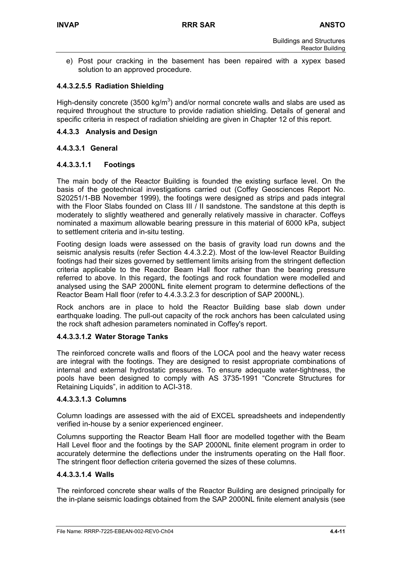e) Post pour cracking in the basement has been repaired with a xypex based solution to an approved procedure.

## **4.4.3.2.5.5 Radiation Shielding**

High-density concrete (3500 kg/m<sup>3</sup>) and/or normal concrete walls and slabs are used as required throughout the structure to provide radiation shielding. Details of general and specific criteria in respect of radiation shielding are given in Chapter 12 of this report.

#### **4.4.3.3 Analysis and Design**

### **4.4.3.3.1 General**

### **4.4.3.3.1.1 Footings**

The main body of the Reactor Building is founded the existing surface level. On the basis of the geotechnical investigations carried out (Coffey Geosciences Report No. S20251/1-BB November 1999), the footings were designed as strips and pads integral with the Floor Slabs founded on Class III / II sandstone. The sandstone at this depth is moderately to slightly weathered and generally relatively massive in character. Coffeys nominated a maximum allowable bearing pressure in this material of 6000 kPa, subject to settlement criteria and in-situ testing.

Footing design loads were assessed on the basis of gravity load run downs and the seismic analysis results (refer Section 4.4.3.2.2). Most of the low-level Reactor Building footings had their sizes governed by settlement limits arising from the stringent deflection criteria applicable to the Reactor Beam Hall floor rather than the bearing pressure referred to above. In this regard, the footings and rock foundation were modelled and analysed using the SAP 2000NL finite element program to determine deflections of the Reactor Beam Hall floor (refer to 4.4.3.3.2.3 for description of SAP 2000NL).

Rock anchors are in place to hold the Reactor Building base slab down under earthquake loading. The pull-out capacity of the rock anchors has been calculated using the rock shaft adhesion parameters nominated in Coffey's report.

#### **4.4.3.3.1.2 Water Storage Tanks**

The reinforced concrete walls and floors of the LOCA pool and the heavy water recess are integral with the footings. They are designed to resist appropriate combinations of internal and external hydrostatic pressures. To ensure adequate water-tightness, the pools have been designed to comply with AS 3735-1991 "Concrete Structures for Retaining Liquids", in addition to ACI-318.

#### **4.4.3.3.1.3 Columns**

Column loadings are assessed with the aid of EXCEL spreadsheets and independently verified in-house by a senior experienced engineer.

Columns supporting the Reactor Beam Hall floor are modelled together with the Beam Hall Level floor and the footings by the SAP 2000NL finite element program in order to accurately determine the deflections under the instruments operating on the Hall floor. The stringent floor deflection criteria governed the sizes of these columns.

#### **4.4.3.3.1.4 Walls**

The reinforced concrete shear walls of the Reactor Building are designed principally for the in-plane seismic loadings obtained from the SAP 2000NL finite element analysis (see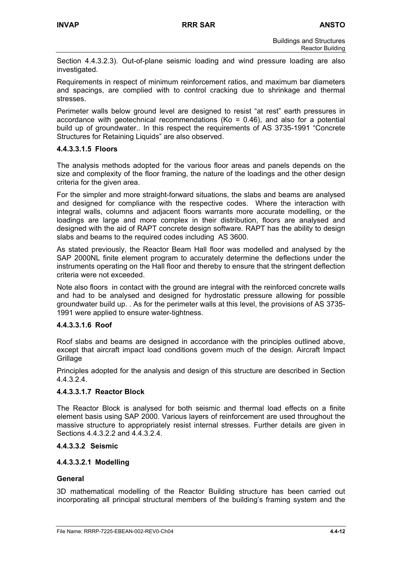Section 4.4.3.2.3). Out-of-plane seismic loading and wind pressure loading are also investigated.

Requirements in respect of minimum reinforcement ratios, and maximum bar diameters and spacings, are complied with to control cracking due to shrinkage and thermal stresses.

Perimeter walls below ground level are designed to resist "at rest" earth pressures in accordance with geotechnical recommendations (Ko = 0.46), and also for a potential build up of groundwater.. In this respect the requirements of AS 3735-1991 "Concrete Structures for Retaining Liquids" are also observed.

### **4.4.3.3.1.5 Floors**

The analysis methods adopted for the various floor areas and panels depends on the size and complexity of the floor framing, the nature of the loadings and the other design criteria for the given area.

For the simpler and more straight-forward situations, the slabs and beams are analysed and designed for compliance with the respective codes. Where the interaction with integral walls, columns and adjacent floors warrants more accurate modelling, or the loadings are large and more complex in their distribution, floors are analysed and designed with the aid of RAPT concrete design software. RAPT has the ability to design slabs and beams to the required codes including AS 3600.

As stated previously, the Reactor Beam Hall floor was modelled and analysed by the SAP 2000NL finite element program to accurately determine the deflections under the instruments operating on the Hall floor and thereby to ensure that the stringent deflection criteria were not exceeded.

Note also floors in contact with the ground are integral with the reinforced concrete walls and had to be analysed and designed for hydrostatic pressure allowing for possible groundwater build up. . As for the perimeter walls at this level, the provisions of AS 3735- 1991 were applied to ensure water-tightness.

#### **4.4.3.3.1.6 Roof**

Roof slabs and beams are designed in accordance with the principles outlined above, except that aircraft impact load conditions govern much of the design. Aircraft Impact **Grillage** 

Principles adopted for the analysis and design of this structure are described in Section 4.4.3.2.4.

## **4.4.3.3.1.7 Reactor Block**

The Reactor Block is analysed for both seismic and thermal load effects on a finite element basis using SAP 2000. Various layers of reinforcement are used throughout the massive structure to appropriately resist internal stresses. Further details are given in Sections 4.4.3.2.2 and 4.4.3.2.4.

#### **4.4.3.3.2 Seismic**

#### **4.4.3.3.2.1 Modelling**

#### **General**

3D mathematical modelling of the Reactor Building structure has been carried out incorporating all principal structural members of the building's framing system and the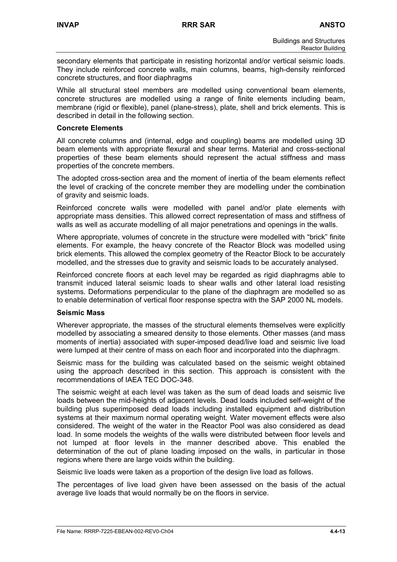secondary elements that participate in resisting horizontal and/or vertical seismic loads. They include reinforced concrete walls, main columns, beams, high-density reinforced concrete structures, and floor diaphragms

While all structural steel members are modelled using conventional beam elements, concrete structures are modelled using a range of finite elements including beam, membrane (rigid or flexible), panel (plane-stress), plate, shell and brick elements. This is described in detail in the following section.

#### **Concrete Elements**

All concrete columns and (internal, edge and coupling) beams are modelled using 3D beam elements with appropriate flexural and shear terms. Material and cross-sectional properties of these beam elements should represent the actual stiffness and mass properties of the concrete members.

The adopted cross-section area and the moment of inertia of the beam elements reflect the level of cracking of the concrete member they are modelling under the combination of gravity and seismic loads.

Reinforced concrete walls were modelled with panel and/or plate elements with appropriate mass densities. This allowed correct representation of mass and stiffness of walls as well as accurate modelling of all major penetrations and openings in the walls.

Where appropriate, volumes of concrete in the structure were modelled with "brick" finite elements. For example, the heavy concrete of the Reactor Block was modelled using brick elements. This allowed the complex geometry of the Reactor Block to be accurately modelled, and the stresses due to gravity and seismic loads to be accurately analysed.

Reinforced concrete floors at each level may be regarded as rigid diaphragms able to transmit induced lateral seismic loads to shear walls and other lateral load resisting systems. Deformations perpendicular to the plane of the diaphragm are modelled so as to enable determination of vertical floor response spectra with the SAP 2000 NL models.

#### **Seismic Mass**

Wherever appropriate, the masses of the structural elements themselves were explicitly modelled by associating a smeared density to those elements. Other masses (and mass moments of inertia) associated with super-imposed dead/live load and seismic live load were lumped at their centre of mass on each floor and incorporated into the diaphragm.

Seismic mass for the building was calculated based on the seismic weight obtained using the approach described in this section. This approach is consistent with the recommendations of IAEA TEC DOC-348.

The seismic weight at each level was taken as the sum of dead loads and seismic live loads between the mid-heights of adjacent levels. Dead loads included self-weight of the building plus superimposed dead loads including installed equipment and distribution systems at their maximum normal operating weight. Water movement effects were also considered. The weight of the water in the Reactor Pool was also considered as dead load. In some models the weights of the walls were distributed between floor levels and not lumped at floor levels in the manner described above. This enabled the determination of the out of plane loading imposed on the walls, in particular in those regions where there are large voids within the building.

Seismic live loads were taken as a proportion of the design live load as follows.

The percentages of live load given have been assessed on the basis of the actual average live loads that would normally be on the floors in service.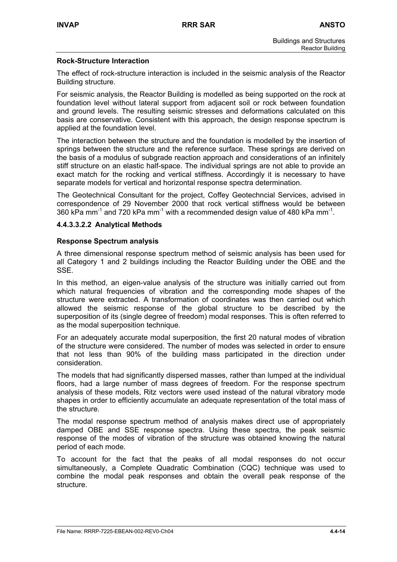## **Rock-Structure Interaction**

The effect of rock-structure interaction is included in the seismic analysis of the Reactor Building structure.

For seismic analysis, the Reactor Building is modelled as being supported on the rock at foundation level without lateral support from adjacent soil or rock between foundation and ground levels. The resulting seismic stresses and deformations calculated on this basis are conservative. Consistent with this approach, the design response spectrum is applied at the foundation level.

The interaction between the structure and the foundation is modelled by the insertion of springs between the structure and the reference surface. These springs are derived on the basis of a modulus of subgrade reaction approach and considerations of an infinitely stiff structure on an elastic half-space. The individual springs are not able to provide an exact match for the rocking and vertical stiffness. Accordingly it is necessary to have separate models for vertical and horizontal response spectra determination.

The Geotechnical Consultant for the project, Coffey Geotechncial Services, advised in correspondence of 29 November 2000 that rock vertical stiffness would be between 360 kPa mm<sup>-1</sup> and 720 kPa mm<sup>-1</sup> with a recommended design value of 480 kPa mm<sup>-1</sup>.

#### **4.4.3.3.2.2 Analytical Methods**

#### **Response Spectrum analysis**

A three dimensional response spectrum method of seismic analysis has been used for all Category 1 and 2 buildings including the Reactor Building under the OBE and the SSE.

In this method, an eigen-value analysis of the structure was initially carried out from which natural frequencies of vibration and the corresponding mode shapes of the structure were extracted. A transformation of coordinates was then carried out which allowed the seismic response of the global structure to be described by the superposition of its (single degree of freedom) modal responses. This is often referred to as the modal superposition technique.

For an adequately accurate modal superposition, the first 20 natural modes of vibration of the structure were considered. The number of modes was selected in order to ensure that not less than 90% of the building mass participated in the direction under consideration.

The models that had significantly dispersed masses, rather than lumped at the individual floors, had a large number of mass degrees of freedom. For the response spectrum analysis of these models, Ritz vectors were used instead of the natural vibratory mode shapes in order to efficiently accumulate an adequate representation of the total mass of the structure.

The modal response spectrum method of analysis makes direct use of appropriately damped OBE and SSE response spectra. Using these spectra, the peak seismic response of the modes of vibration of the structure was obtained knowing the natural period of each mode.

To account for the fact that the peaks of all modal responses do not occur simultaneously, a Complete Quadratic Combination (CQC) technique was used to combine the modal peak responses and obtain the overall peak response of the structure.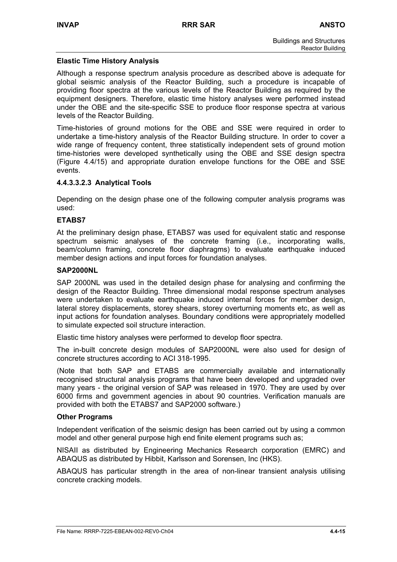## **Elastic Time History Analysis**

Although a response spectrum analysis procedure as described above is adequate for global seismic analysis of the Reactor Building, such a procedure is incapable of providing floor spectra at the various levels of the Reactor Building as required by the equipment designers. Therefore, elastic time history analyses were performed instead under the OBE and the site-specific SSE to produce floor response spectra at various levels of the Reactor Building.

Time-histories of ground motions for the OBE and SSE were required in order to undertake a time-history analysis of the Reactor Building structure. In order to cover a wide range of frequency content, three statistically independent sets of ground motion time-histories were developed synthetically using the OBE and SSE design spectra (Figure 4.4/15) and appropriate duration envelope functions for the OBE and SSE events.

### **4.4.3.3.2.3 Analytical Tools**

Depending on the design phase one of the following computer analysis programs was used:

### **ETABS7**

At the preliminary design phase, ETABS7 was used for equivalent static and response spectrum seismic analyses of the concrete framing (i.e., incorporating walls, beam/column framing, concrete floor diaphragms) to evaluate earthquake induced member design actions and input forces for foundation analyses.

#### **SAP2000NL**

SAP 2000NL was used in the detailed design phase for analysing and confirming the design of the Reactor Building. Three dimensional modal response spectrum analyses were undertaken to evaluate earthquake induced internal forces for member design, lateral storey displacements, storey shears, storey overturning moments etc, as well as input actions for foundation analyses. Boundary conditions were appropriately modelled to simulate expected soil structure interaction.

Elastic time history analyses were performed to develop floor spectra.

The in-built concrete design modules of SAP2000NL were also used for design of concrete structures according to ACI 318-1995.

(Note that both SAP and ETABS are commercially available and internationally recognised structural analysis programs that have been developed and upgraded over many years - the original version of SAP was released in 1970. They are used by over 6000 firms and government agencies in about 90 countries. Verification manuals are provided with both the ETABS7 and SAP2000 software.)

#### **Other Programs**

Independent verification of the seismic design has been carried out by using a common model and other general purpose high end finite element programs such as;

NISAII as distributed by Engineering Mechanics Research corporation (EMRC) and ABAQUS as distributed by Hibbit, Karlsson and Sorensen, Inc (HKS).

ABAQUS has particular strength in the area of non-linear transient analysis utilising concrete cracking models.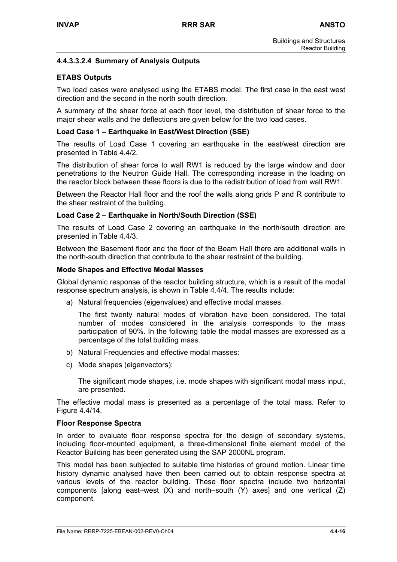## **4.4.3.3.2.4 Summary of Analysis Outputs**

### **ETABS Outputs**

Two load cases were analysed using the ETABS model. The first case in the east west direction and the second in the north south direction.

A summary of the shear force at each floor level, the distribution of shear force to the major shear walls and the deflections are given below for the two load cases.

#### **Load Case 1 – Earthquake in East/West Direction (SSE)**

The results of Load Case 1 covering an earthquake in the east/west direction are presented in Table 4.4/2.

The distribution of shear force to wall RW1 is reduced by the large window and door penetrations to the Neutron Guide Hall. The corresponding increase in the loading on the reactor block between these floors is due to the redistribution of load from wall RW1.

Between the Reactor Hall floor and the roof the walls along grids P and R contribute to the shear restraint of the building.

#### **Load Case 2 – Earthquake in North/South Direction (SSE)**

The results of Load Case 2 covering an earthquake in the north/south direction are presented in Table 4.4/3.

Between the Basement floor and the floor of the Beam Hall there are additional walls in the north-south direction that contribute to the shear restraint of the building.

#### **Mode Shapes and Effective Modal Masses**

Global dynamic response of the reactor building structure, which is a result of the modal response spectrum analysis, is shown in Table 4.4/4. The results include:

a) Natural frequencies (eigenvalues) and effective modal masses.

The first twenty natural modes of vibration have been considered. The total number of modes considered in the analysis corresponds to the mass participation of 90%. In the following table the modal masses are expressed as a percentage of the total building mass.

- b) Natural Frequencies and effective modal masses:
- c) Mode shapes (eigenvectors):

The significant mode shapes, i.e. mode shapes with significant modal mass input, are presented.

The effective modal mass is presented as a percentage of the total mass. Refer to Figure 4.4/14.

#### **Floor Response Spectra**

In order to evaluate floor response spectra for the design of secondary systems, including floor-mounted equipment, a three-dimensional finite element model of the Reactor Building has been generated using the SAP 2000NL program.

This model has been subjected to suitable time histories of ground motion. Linear time history dynamic analysed have then been carried out to obtain response spectra at various levels of the reactor building. These floor spectra include two horizontal components [along east–west  $(X)$  and north–south  $(Y)$  axes] and one vertical  $(Z)$ component.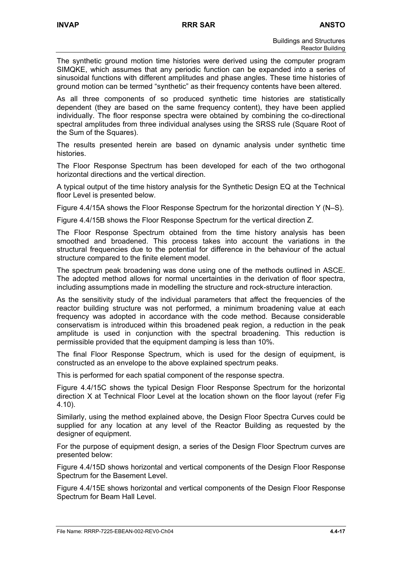The synthetic ground motion time histories were derived using the computer program SIMQKE, which assumes that any periodic function can be expanded into a series of sinusoidal functions with different amplitudes and phase angles. These time histories of ground motion can be termed "synthetic" as their frequency contents have been altered.

As all three components of so produced synthetic time histories are statistically dependent (they are based on the same frequency content), they have been applied individually. The floor response spectra were obtained by combining the co-directional spectral amplitudes from three individual analyses using the SRSS rule (Square Root of the Sum of the Squares).

The results presented herein are based on dynamic analysis under synthetic time histories.

The Floor Response Spectrum has been developed for each of the two orthogonal horizontal directions and the vertical direction.

A typical output of the time history analysis for the Synthetic Design EQ at the Technical floor Level is presented below.

Figure 4.4/15A shows the Floor Response Spectrum for the horizontal direction Y (N–S).

Figure 4.4/15B shows the Floor Response Spectrum for the vertical direction Z.

The Floor Response Spectrum obtained from the time history analysis has been smoothed and broadened. This process takes into account the variations in the structural frequencies due to the potential for difference in the behaviour of the actual structure compared to the finite element model.

The spectrum peak broadening was done using one of the methods outlined in ASCE. The adopted method allows for normal uncertainties in the derivation of floor spectra, including assumptions made in modelling the structure and rock-structure interaction.

As the sensitivity study of the individual parameters that affect the frequencies of the reactor building structure was not performed, a minimum broadening value at each frequency was adopted in accordance with the code method. Because considerable conservatism is introduced within this broadened peak region, a reduction in the peak amplitude is used in conjunction with the spectral broadening. This reduction is permissible provided that the equipment damping is less than 10%.

The final Floor Response Spectrum, which is used for the design of equipment, is constructed as an envelope to the above explained spectrum peaks.

This is performed for each spatial component of the response spectra.

Figure 4.4/15C shows the typical Design Floor Response Spectrum for the horizontal direction X at Technical Floor Level at the location shown on the floor layout (refer Fig 4.10).

Similarly, using the method explained above, the Design Floor Spectra Curves could be supplied for any location at any level of the Reactor Building as requested by the designer of equipment.

For the purpose of equipment design, a series of the Design Floor Spectrum curves are presented below:

Figure 4.4/15D shows horizontal and vertical components of the Design Floor Response Spectrum for the Basement Level.

Figure 4.4/15E shows horizontal and vertical components of the Design Floor Response Spectrum for Beam Hall Level.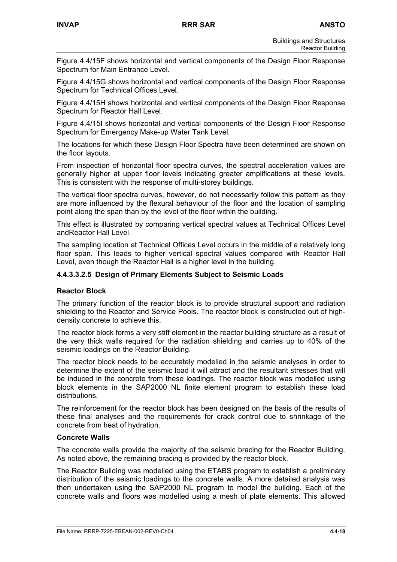Figure 4.4/15F shows horizontal and vertical components of the Design Floor Response Spectrum for Main Entrance Level.

Figure 4.4/15G shows horizontal and vertical components of the Design Floor Response Spectrum for Technical Offices Level.

Figure 4.4/15H shows horizontal and vertical components of the Design Floor Response Spectrum for Reactor Hall Level.

Figure 4.4/15I shows horizontal and vertical components of the Design Floor Response Spectrum for Emergency Make-up Water Tank Level.

The locations for which these Design Floor Spectra have been determined are shown on the floor layouts.

From inspection of horizontal floor spectra curves, the spectral acceleration values are generally higher at upper floor levels indicating greater amplifications at these levels. This is consistent with the response of multi-storey buildings.

The vertical floor spectra curves, however, do not necessarily follow this pattern as they are more influenced by the flexural behaviour of the floor and the location of sampling point along the span than by the level of the floor within the building.

This effect is illustrated by comparing vertical spectral values at Technical Offices Level andReactor Hall Level.

The sampling location at Technical Offices Level occurs in the middle of a relatively long floor span. This leads to higher vertical spectral values compared with Reactor Hall Level, even though the Reactor Hall is a higher level in the building.

#### **4.4.3.3.2.5 Design of Primary Elements Subject to Seismic Loads**

#### **Reactor Block**

The primary function of the reactor block is to provide structural support and radiation shielding to the Reactor and Service Pools. The reactor block is constructed out of highdensity concrete to achieve this.

The reactor block forms a very stiff element in the reactor building structure as a result of the very thick walls required for the radiation shielding and carries up to 40% of the seismic loadings on the Reactor Building.

The reactor block needs to be accurately modelled in the seismic analyses in order to determine the extent of the seismic load it will attract and the resultant stresses that will be induced in the concrete from these loadings. The reactor block was modelled using block elements in the SAP2000 NL finite element program to establish these load distributions.

The reinforcement for the reactor block has been designed on the basis of the results of these final analyses and the requirements for crack control due to shrinkage of the concrete from heat of hydration.

#### **Concrete Walls**

The concrete walls provide the majority of the seismic bracing for the Reactor Building. As noted above, the remaining bracing is provided by the reactor block.

The Reactor Building was modelled using the ETABS program to establish a preliminary distribution of the seismic loadings to the concrete walls. A more detailed analysis was then undertaken using the SAP2000 NL program to model the building. Each of the concrete walls and floors was modelled using a mesh of plate elements. This allowed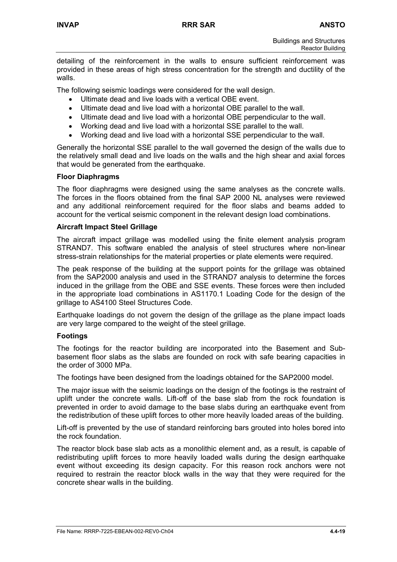detailing of the reinforcement in the walls to ensure sufficient reinforcement was provided in these areas of high stress concentration for the strength and ductility of the walls.

The following seismic loadings were considered for the wall design.

- Ultimate dead and live loads with a vertical OBE event.
- Ultimate dead and live load with a horizontal OBE parallel to the wall.
- Ultimate dead and live load with a horizontal OBE perpendicular to the wall.
- Working dead and live load with a horizontal SSE parallel to the wall.
- Working dead and live load with a horizontal SSE perpendicular to the wall.

Generally the horizontal SSE parallel to the wall governed the design of the walls due to the relatively small dead and live loads on the walls and the high shear and axial forces that would be generated from the earthquake.

#### **Floor Diaphragms**

The floor diaphragms were designed using the same analyses as the concrete walls. The forces in the floors obtained from the final SAP 2000 NL analyses were reviewed and any additional reinforcement required for the floor slabs and beams added to account for the vertical seismic component in the relevant design load combinations.

#### **Aircraft Impact Steel Grillage**

The aircraft impact grillage was modelled using the finite element analysis program STRAND7. This software enabled the analysis of steel structures where non-linear stress-strain relationships for the material properties or plate elements were required.

The peak response of the building at the support points for the grillage was obtained from the SAP2000 analysis and used in the STRAND7 analysis to determine the forces induced in the grillage from the OBE and SSE events. These forces were then included in the appropriate load combinations in AS1170.1 Loading Code for the design of the grillage to AS4100 Steel Structures Code.

Earthquake loadings do not govern the design of the grillage as the plane impact loads are very large compared to the weight of the steel grillage.

#### **Footings**

The footings for the reactor building are incorporated into the Basement and Subbasement floor slabs as the slabs are founded on rock with safe bearing capacities in the order of 3000 MPa.

The footings have been designed from the loadings obtained for the SAP2000 model.

The major issue with the seismic loadings on the design of the footings is the restraint of uplift under the concrete walls. Lift-off of the base slab from the rock foundation is prevented in order to avoid damage to the base slabs during an earthquake event from the redistribution of these uplift forces to other more heavily loaded areas of the building.

Lift-off is prevented by the use of standard reinforcing bars grouted into holes bored into the rock foundation.

The reactor block base slab acts as a monolithic element and, as a result, is capable of redistributing uplift forces to more heavily loaded walls during the design earthquake event without exceeding its design capacity. For this reason rock anchors were not required to restrain the reactor block walls in the way that they were required for the concrete shear walls in the building.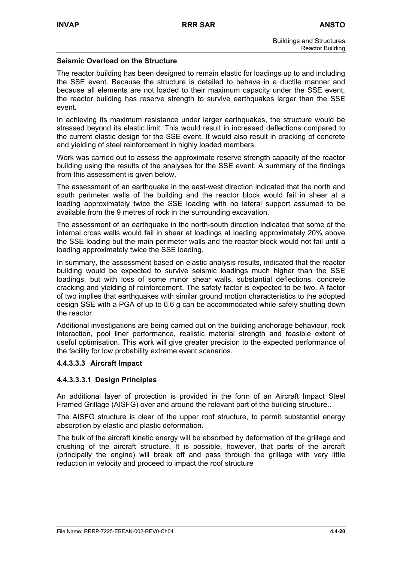#### **Seismic Overload on the Structure**

The reactor building has been designed to remain elastic for loadings up to and including the SSE event. Because the structure is detailed to behave in a ductile manner and because all elements are not loaded to their maximum capacity under the SSE event, the reactor building has reserve strength to survive earthquakes larger than the SSE event.

In achieving its maximum resistance under larger earthquakes, the structure would be stressed beyond its elastic limit. This would result in increased deflections compared to the current elastic design for the SSE event. It would also result in cracking of concrete and yielding of steel reinforcement in highly loaded members.

Work was carried out to assess the approximate reserve strength capacity of the reactor building using the results of the analyses for the SSE event. A summary of the findings from this assessment is given below.

The assessment of an earthquake in the east-west direction indicated that the north and south perimeter walls of the building and the reactor block would fail in shear at a loading approximately twice the SSE loading with no lateral support assumed to be available from the 9 metres of rock in the surrounding excavation.

The assessment of an earthquake in the north-south direction indicated that some of the internal cross walls would fail in shear at loadings at loading approximately 20% above the SSE loading but the main perimeter walls and the reactor block would not fail until a loading approximately twice the SSE loading.

In summary, the assessment based on elastic analysis results, indicated that the reactor building would be expected to survive seismic loadings much higher than the SSE loadings, but with loss of some minor shear walls, substantial deflections, concrete cracking and yielding of reinforcement. The safety factor is expected to be two. A factor of two implies that earthquakes with similar ground motion characteristics to the adopted design SSE with a PGA of up to 0.6 g can be accommodated while safely shutting down the reactor.

Additional investigations are being carried out on the building anchorage behaviour, rock interaction, pool liner performance, realistic material strength and feasible extent of useful optimisation. This work will give greater precision to the expected performance of the facility for low probability extreme event scenarios.

## **4.4.3.3.3 Aircraft Impact**

## **4.4.3.3.3.1 Design Principles**

An additional layer of protection is provided in the form of an Aircraft Impact Steel Framed Grillage (AISFG) over and around the relevant part of the building structure..

The AISFG structure is clear of the upper roof structure, to permit substantial energy absorption by elastic and plastic deformation.

The bulk of the aircraft kinetic energy will be absorbed by deformation of the grillage and crushing of the aircraft structure. It is possible, however, that parts of the aircraft (principally the engine) will break off and pass through the grillage with very little reduction in velocity and proceed to impact the roof structure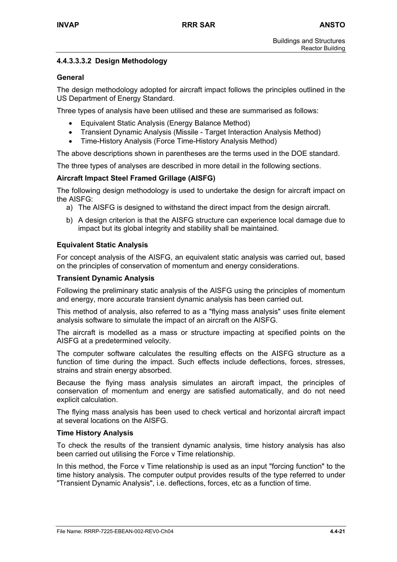## **4.4.3.3.3.2 Design Methodology**

#### **General**

The design methodology adopted for aircraft impact follows the principles outlined in the US Department of Energy Standard.

Three types of analysis have been utilised and these are summarised as follows:

- Equivalent Static Analysis (Energy Balance Method)
- Transient Dynamic Analysis (Missile Target Interaction Analysis Method)
- Time-History Analysis (Force Time-History Analysis Method)

The above descriptions shown in parentheses are the terms used in the DOE standard.

The three types of analyses are described in more detail in the following sections.

### **Aircraft Impact Steel Framed Grillage (AISFG)**

The following design methodology is used to undertake the design for aircraft impact on the AISFG:

- a) The AISFG is designed to withstand the direct impact from the design aircraft.
- b) A design criterion is that the AISFG structure can experience local damage due to impact but its global integrity and stability shall be maintained.

#### **Equivalent Static Analysis**

For concept analysis of the AISFG, an equivalent static analysis was carried out, based on the principles of conservation of momentum and energy considerations.

#### **Transient Dynamic Analysis**

Following the preliminary static analysis of the AISFG using the principles of momentum and energy, more accurate transient dynamic analysis has been carried out.

This method of analysis, also referred to as a "flying mass analysis" uses finite element analysis software to simulate the impact of an aircraft on the AISFG.

The aircraft is modelled as a mass or structure impacting at specified points on the AISFG at a predetermined velocity.

The computer software calculates the resulting effects on the AISFG structure as a function of time during the impact. Such effects include deflections, forces, stresses, strains and strain energy absorbed.

Because the flying mass analysis simulates an aircraft impact, the principles of conservation of momentum and energy are satisfied automatically, and do not need explicit calculation.

The flying mass analysis has been used to check vertical and horizontal aircraft impact at several locations on the AISFG.

#### **Time History Analysis**

To check the results of the transient dynamic analysis, time history analysis has also been carried out utilising the Force v Time relationship.

In this method, the Force v Time relationship is used as an input "forcing function" to the time history analysis. The computer output provides results of the type referred to under "Transient Dynamic Analysis", i.e. deflections, forces, etc as a function of time.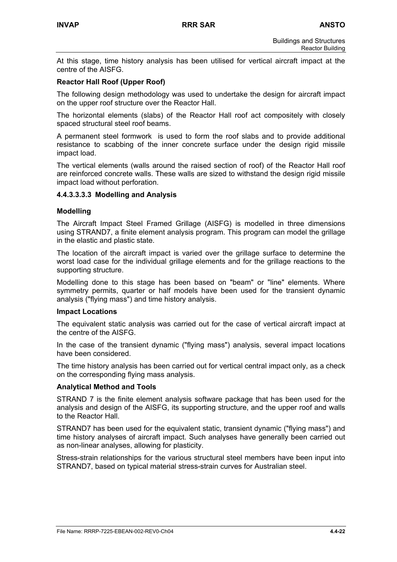At this stage, time history analysis has been utilised for vertical aircraft impact at the centre of the AISFG.

#### **Reactor Hall Roof (Upper Roof)**

The following design methodology was used to undertake the design for aircraft impact on the upper roof structure over the Reactor Hall.

The horizontal elements (slabs) of the Reactor Hall roof act compositely with closely spaced structural steel roof beams.

A permanent steel formwork is used to form the roof slabs and to provide additional resistance to scabbing of the inner concrete surface under the design rigid missile impact load.

The vertical elements (walls around the raised section of roof) of the Reactor Hall roof are reinforced concrete walls. These walls are sized to withstand the design rigid missile impact load without perforation.

#### **4.4.3.3.3.3 Modelling and Analysis**

#### **Modelling**

The Aircraft Impact Steel Framed Grillage (AISFG) is modelled in three dimensions using STRAND7, a finite element analysis program. This program can model the grillage in the elastic and plastic state.

The location of the aircraft impact is varied over the grillage surface to determine the worst load case for the individual grillage elements and for the grillage reactions to the supporting structure.

Modelling done to this stage has been based on "beam" or "line" elements. Where symmetry permits, quarter or half models have been used for the transient dynamic analysis ("flying mass") and time history analysis.

#### **Impact Locations**

The equivalent static analysis was carried out for the case of vertical aircraft impact at the centre of the AISFG.

In the case of the transient dynamic ("flying mass") analysis, several impact locations have been considered.

The time history analysis has been carried out for vertical central impact only, as a check on the corresponding flying mass analysis.

#### **Analytical Method and Tools**

STRAND 7 is the finite element analysis software package that has been used for the analysis and design of the AISFG, its supporting structure, and the upper roof and walls to the Reactor Hall.

STRAND7 has been used for the equivalent static, transient dynamic ("flying mass") and time history analyses of aircraft impact. Such analyses have generally been carried out as non-linear analyses, allowing for plasticity.

Stress-strain relationships for the various structural steel members have been input into STRAND7, based on typical material stress-strain curves for Australian steel.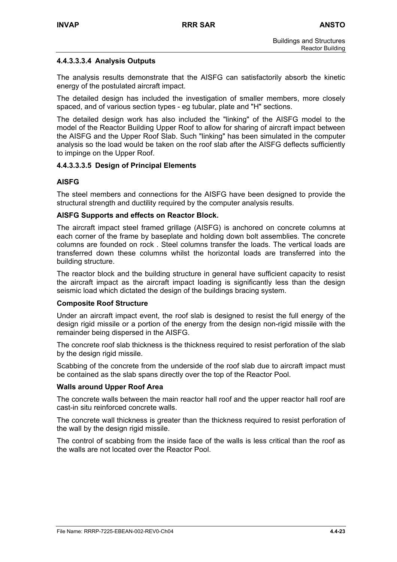## **4.4.3.3.3.4 Analysis Outputs**

The analysis results demonstrate that the AISFG can satisfactorily absorb the kinetic energy of the postulated aircraft impact.

The detailed design has included the investigation of smaller members, more closely spaced, and of various section types - eg tubular, plate and "H" sections.

The detailed design work has also included the "linking" of the AISFG model to the model of the Reactor Building Upper Roof to allow for sharing of aircraft impact between the AISFG and the Upper Roof Slab. Such "linking" has been simulated in the computer analysis so the load would be taken on the roof slab after the AISFG deflects sufficiently to impinge on the Upper Roof.

### **4.4.3.3.3.5 Design of Principal Elements**

### **AISFG**

The steel members and connections for the AISFG have been designed to provide the structural strength and ductility required by the computer analysis results.

#### **AISFG Supports and effects on Reactor Block.**

The aircraft impact steel framed grillage (AISFG) is anchored on concrete columns at each corner of the frame by baseplate and holding down bolt assemblies. The concrete columns are founded on rock . Steel columns transfer the loads. The vertical loads are transferred down these columns whilst the horizontal loads are transferred into the building structure.

The reactor block and the building structure in general have sufficient capacity to resist the aircraft impact as the aircraft impact loading is significantly less than the design seismic load which dictated the design of the buildings bracing system.

#### **Composite Roof Structure**

Under an aircraft impact event, the roof slab is designed to resist the full energy of the design rigid missile or a portion of the energy from the design non-rigid missile with the remainder being dispersed in the AISFG.

The concrete roof slab thickness is the thickness required to resist perforation of the slab by the design rigid missile.

Scabbing of the concrete from the underside of the roof slab due to aircraft impact must be contained as the slab spans directly over the top of the Reactor Pool.

#### **Walls around Upper Roof Area**

The concrete walls between the main reactor hall roof and the upper reactor hall roof are cast-in situ reinforced concrete walls.

The concrete wall thickness is greater than the thickness required to resist perforation of the wall by the design rigid missile.

The control of scabbing from the inside face of the walls is less critical than the roof as the walls are not located over the Reactor Pool.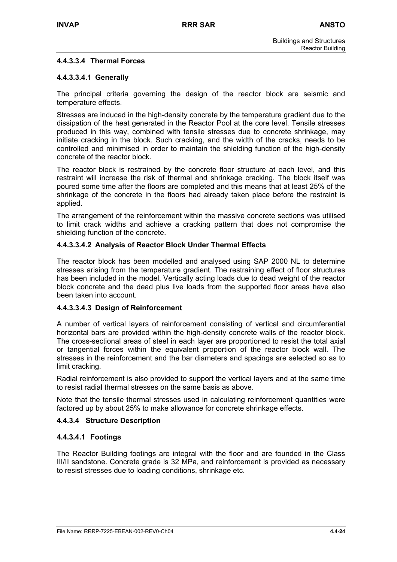#### **4.4.3.3.4 Thermal Forces**

#### **4.4.3.3.4.1 Generally**

The principal criteria governing the design of the reactor block are seismic and temperature effects.

Stresses are induced in the high-density concrete by the temperature gradient due to the dissipation of the heat generated in the Reactor Pool at the core level. Tensile stresses produced in this way, combined with tensile stresses due to concrete shrinkage, may initiate cracking in the block. Such cracking, and the width of the cracks, needs to be controlled and minimised in order to maintain the shielding function of the high-density concrete of the reactor block.

The reactor block is restrained by the concrete floor structure at each level, and this restraint will increase the risk of thermal and shrinkage cracking. The block itself was poured some time after the floors are completed and this means that at least 25% of the shrinkage of the concrete in the floors had already taken place before the restraint is applied.

The arrangement of the reinforcement within the massive concrete sections was utilised to limit crack widths and achieve a cracking pattern that does not compromise the shielding function of the concrete.

#### **4.4.3.3.4.2 Analysis of Reactor Block Under Thermal Effects**

The reactor block has been modelled and analysed using SAP 2000 NL to determine stresses arising from the temperature gradient. The restraining effect of floor structures has been included in the model. Vertically acting loads due to dead weight of the reactor block concrete and the dead plus live loads from the supported floor areas have also been taken into account.

#### **4.4.3.3.4.3 Design of Reinforcement**

A number of vertical layers of reinforcement consisting of vertical and circumferential horizontal bars are provided within the high-density concrete walls of the reactor block. The cross-sectional areas of steel in each layer are proportioned to resist the total axial or tangential forces within the equivalent proportion of the reactor block wall. The stresses in the reinforcement and the bar diameters and spacings are selected so as to limit cracking.

Radial reinforcement is also provided to support the vertical layers and at the same time to resist radial thermal stresses on the same basis as above.

Note that the tensile thermal stresses used in calculating reinforcement quantities were factored up by about 25% to make allowance for concrete shrinkage effects.

#### **4.4.3.4 Structure Description**

#### **4.4.3.4.1 Footings**

The Reactor Building footings are integral with the floor and are founded in the Class III/II sandstone. Concrete grade is 32 MPa, and reinforcement is provided as necessary to resist stresses due to loading conditions, shrinkage etc.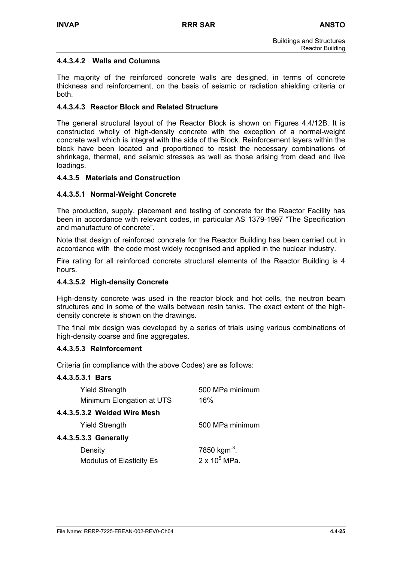## **4.4.3.4.2 Walls and Columns**

The majority of the reinforced concrete walls are designed, in terms of concrete thickness and reinforcement, on the basis of seismic or radiation shielding criteria or both.

### **4.4.3.4.3 Reactor Block and Related Structure**

The general structural layout of the Reactor Block is shown on Figures 4.4/12B. It is constructed wholly of high-density concrete with the exception of a normal-weight concrete wall which is integral with the side of the Block. Reinforcement layers within the block have been located and proportioned to resist the necessary combinations of shrinkage, thermal, and seismic stresses as well as those arising from dead and live loadings.

#### **4.4.3.5 Materials and Construction**

### **4.4.3.5.1 Normal-Weight Concrete**

The production, supply, placement and testing of concrete for the Reactor Facility has been in accordance with relevant codes, in particular AS 1379-1997 "The Specification and manufacture of concrete".

Note that design of reinforced concrete for the Reactor Building has been carried out in accordance with the code most widely recognised and applied in the nuclear industry.

Fire rating for all reinforced concrete structural elements of the Reactor Building is 4 hours.

#### **4.4.3.5.2 High-density Concrete**

High-density concrete was used in the reactor block and hot cells, the neutron beam structures and in some of the walls between resin tanks. The exact extent of the highdensity concrete is shown on the drawings.

The final mix design was developed by a series of trials using various combinations of high-density coarse and fine aggregates.

#### **4.4.3.5.3 Reinforcement**

Criteria (in compliance with the above Codes) are as follows:

#### **4.4.3.5.3.1 Bars**

| <b>Yield Strength</b>     | 500 MPa minimum |
|---------------------------|-----------------|
| Minimum Elongation at UTS | 16%             |
|                           |                 |

## **4.4.3.5.3.2 Welded Wire Mesh**

| <b>Yield Strength</b>    | 500 MPa minimum          |
|--------------------------|--------------------------|
| 4.4.3.5.3.3 Generally    |                          |
| Density                  | 7850 kgm <sup>-3</sup> . |
| Modulus of Elasticity Es | $2 \times 10^5$ MPa.     |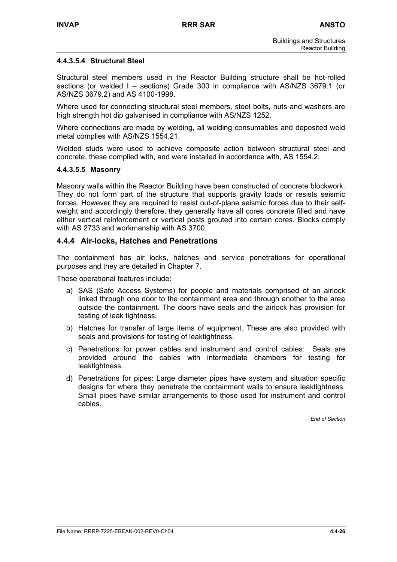#### **4.4.3.5.4 Structural Steel**

Structural steel members used in the Reactor Building structure shall be hot-rolled sections (or welded I – sections) Grade 300 in compliance with AS/NZS 3679.1 (or AS/NZS 3679.2) and AS 4100-1998.

Where used for connecting structural steel members, steel bolts, nuts and washers are high strength hot dip galvanised in compliance with AS/NZS 1252.

Where connections are made by welding, all welding consumables and deposited weld metal complies with AS/NZS 1554.21.

Welded studs were used to achieve composite action between structural steel and concrete, these complied with, and were installed in accordance with, AS 1554.2.

#### **4.4.3.5.5 Masonry**

Masonry walls within the Reactor Building have been constructed of concrete blockwork. They do not form part of the structure that supports gravity loads or resists seismic forces. However they are required to resist out-of-plane seismic forces due to their selfweight and accordingly therefore, they generally have all cores concrete filled and have either vertical reinforcement or vertical posts grouted into certain cores. Blocks comply with AS 2733 and workmanship with AS 3700.

### **4.4.4 Air-locks, Hatches and Penetrations**

The containment has air locks, hatches and service penetrations for operational purposes and they are detailed in Chapter 7.

These operational features include:

- a) SAS (Safe Access Systems) for people and materials comprised of an airlock linked through one door to the containment area and through another to the area outside the containment. The doors have seals and the airlock has provision for testing of leak tightness.
- b) Hatches for transfer of large items of equipment. These are also provided with seals and provisions for testing of leaktightness.
- c) Penetrations for power cables and instrument and control cables: Seals are provided around the cables with intermediate chambers for testing for leaktightness.
- d) Penetrations for pipes: Large diameter pipes have system and situation specific designs for where they penetrate the containment walls to ensure leaktightness. Small pipes have similar arrangements to those used for instrument and control cables.

*End of Section*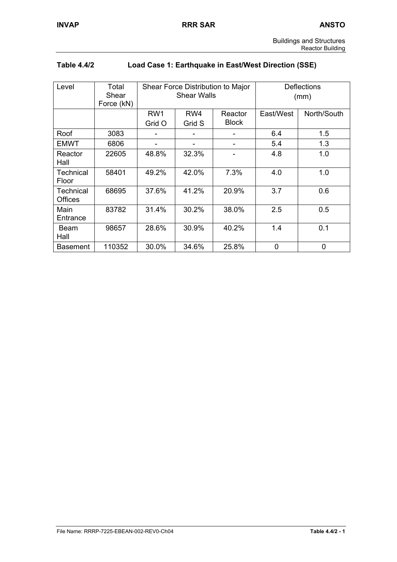| <b>Table 4.4/2</b> | Load Case 1: Earthquake in East/West Direction (SSE) |
|--------------------|------------------------------------------------------|
|--------------------|------------------------------------------------------|

| Level                              | Total<br>Shear<br>Force (kN) | Shear Force Distribution to Major<br><b>Shear Walls</b> |               |                         |           | <b>Deflections</b><br>(mm) |
|------------------------------------|------------------------------|---------------------------------------------------------|---------------|-------------------------|-----------|----------------------------|
|                                    |                              | RW <sub>1</sub><br>Grid O                               | RW4<br>Grid S | Reactor<br><b>Block</b> | East/West | North/South                |
| Roof                               | 3083                         |                                                         |               |                         | 6.4       | 1.5                        |
| <b>EMWT</b>                        | 6806                         |                                                         |               |                         | 5.4       | 1.3                        |
| Reactor<br>Hall                    | 22605                        | 48.8%                                                   | 32.3%         |                         | 4.8       | 1.0                        |
| <b>Technical</b><br>Floor          | 58401                        | 49.2%                                                   | 42.0%         | 7.3%                    | 4.0       | 1.0                        |
| <b>Technical</b><br><b>Offices</b> | 68695                        | 37.6%                                                   | 41.2%         | 20.9%                   | 3.7       | 0.6                        |
| Main<br>Entrance                   | 83782                        | 31.4%                                                   | 30.2%         | 38.0%                   | 2.5       | 0.5                        |
| Beam<br>Hall                       | 98657                        | 28.6%                                                   | 30.9%         | 40.2%                   | 1.4       | 0.1                        |
| <b>Basement</b>                    | 110352                       | 30.0%                                                   | 34.6%         | 25.8%                   | 0         | 0                          |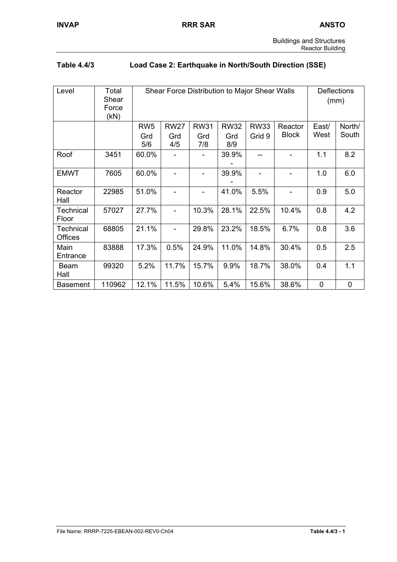| <b>Buildings and Structures</b> |  |
|---------------------------------|--|
| <b>Reactor Building</b>         |  |

# **Table 4.4/3 Load Case 2: Earthquake in North/South Direction (SSE)**

| Level                              | Total<br>Shear<br>Force<br>(KN) |                 | Shear Force Distribution to Major Shear Walls |                          |             |             |              |             | <b>Deflections</b><br>(mm) |
|------------------------------------|---------------------------------|-----------------|-----------------------------------------------|--------------------------|-------------|-------------|--------------|-------------|----------------------------|
|                                    |                                 | RW <sub>5</sub> | <b>RW27</b>                                   | <b>RW31</b>              | <b>RW32</b> | <b>RW33</b> | Reactor      | East/       | North/                     |
|                                    |                                 | Grd<br>5/6      | Grd<br>4/5                                    | Grd<br>7/8               | Grd<br>8/9  | Grid 9      | <b>Block</b> | West        | South                      |
| Roof                               | 3451                            | 60.0%           |                                               |                          | 39.9%       |             |              | 1.1         | 8.2                        |
| <b>EMWT</b>                        | 7605                            | 60.0%           |                                               | $\overline{\phantom{0}}$ | 39.9%       |             |              | 1.0         | 6.0                        |
| Reactor<br>Hall                    | 22985                           | 51.0%           |                                               |                          | 41.0%       | 5.5%        |              | 0.9         | 5.0                        |
| <b>Technical</b><br>Floor          | 57027                           | 27.7%           |                                               | 10.3%                    | 28.1%       | 22.5%       | 10.4%        | 0.8         | 4.2                        |
| <b>Technical</b><br><b>Offices</b> | 68805                           | 21.1%           |                                               | 29.8%                    | 23.2%       | 18.5%       | 6.7%         | 0.8         | 3.6                        |
| Main<br>Entrance                   | 83888                           | 17.3%           | 0.5%                                          | 24.9%                    | 11.0%       | 14.8%       | 30.4%        | 0.5         | 2.5                        |
| Beam<br>Hall                       | 99320                           | 5.2%            | 11.7%                                         | 15.7%                    | 9.9%        | 18.7%       | 38.0%        | 0.4         | 1.1                        |
| <b>Basement</b>                    | 110962                          | 12.1%           | 11.5%                                         | 10.6%                    | 5.4%        | 15.6%       | 38.6%        | $\mathbf 0$ | $\pmb{0}$                  |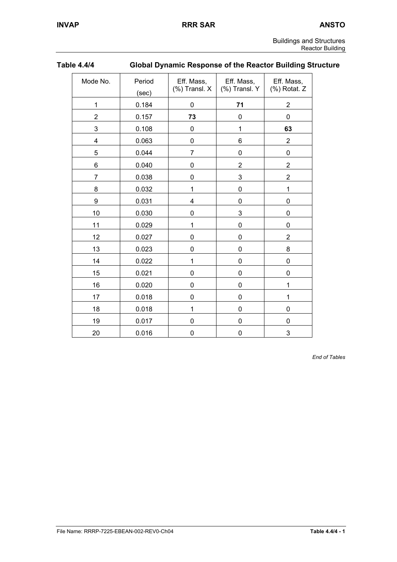| <b>Buildings and Structures</b> |                         |
|---------------------------------|-------------------------|
|                                 | <b>Reactor Building</b> |

| <b>Table 4.4/4</b> |
|--------------------|
|--------------------|

# **Global Dynamic Response of the Reactor Building Structure**

| Mode No.       | Period<br>(sec) | Eff. Mass,<br>$%$ ) Transl. X | Eff. Mass,<br>(%) Transl. Y | Eff. Mass,<br>(%) Rotat. Z |
|----------------|-----------------|-------------------------------|-----------------------------|----------------------------|
| $\mathbf 1$    | 0.184           | 0                             | 71                          | $\overline{2}$             |
| $\overline{2}$ | 0.157           | 73                            | 0                           | $\mathbf 0$                |
| 3              | 0.108           | 0                             | 1                           | 63                         |
| 4              | 0.063           | 0                             | 6                           | $\overline{2}$             |
| 5              | 0.044           | $\overline{7}$                | 0                           | $\mathbf 0$                |
| 6              | 0.040           | 0                             | $\overline{c}$              | $\overline{c}$             |
| 7              | 0.038           | 0                             | 3                           | $\overline{2}$             |
| 8              | 0.032           | 1                             | 0                           | $\mathbf{1}$               |
| 9              | 0.031           | 4                             | 0                           | 0                          |
| 10             | 0.030           | $\mathbf 0$                   | 3                           | 0                          |
| 11             | 0.029           | 1                             | $\mathbf 0$                 | $\mathbf 0$                |
| 12             | 0.027           | $\mathbf 0$                   | $\mathbf 0$                 | $\overline{2}$             |
| 13             | 0.023           | 0                             | 0                           | 8                          |
| 14             | 0.022           | 1                             | 0                           | 0                          |
| 15             | 0.021           | $\mathbf 0$                   | 0                           | 0                          |
| 16             | 0.020           | $\mathbf 0$                   | 0                           | 1                          |
| 17             | 0.018           | 0                             | 0                           | 1                          |
| 18             | 0.018           | 1                             | 0                           | 0                          |
| 19             | 0.017           | 0                             | 0                           | 0                          |
| 20             | 0.016           | $\mathbf 0$                   | 0                           | 3                          |

*End of Tables*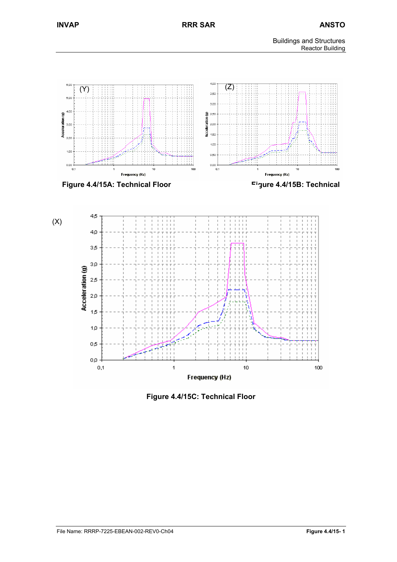



**Figure 4.4/15C: Technical Floor**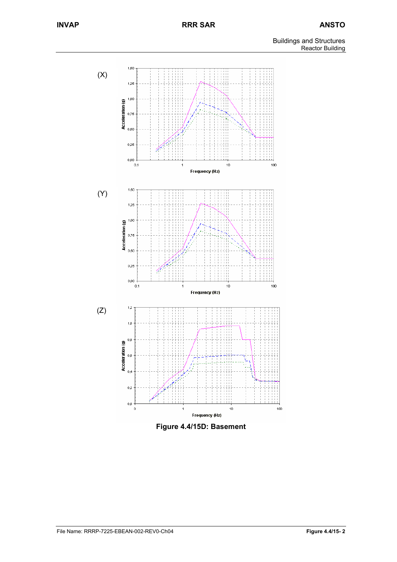

**Figure 4.4/15D: Basement**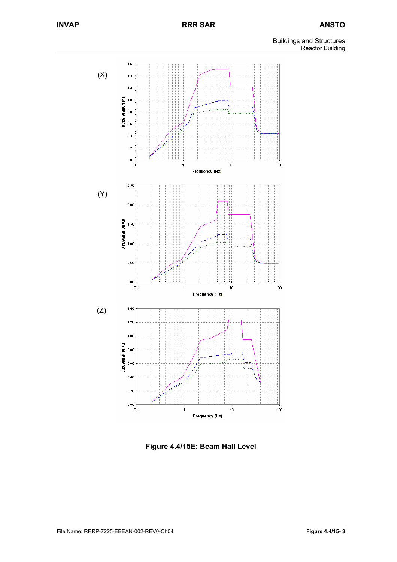

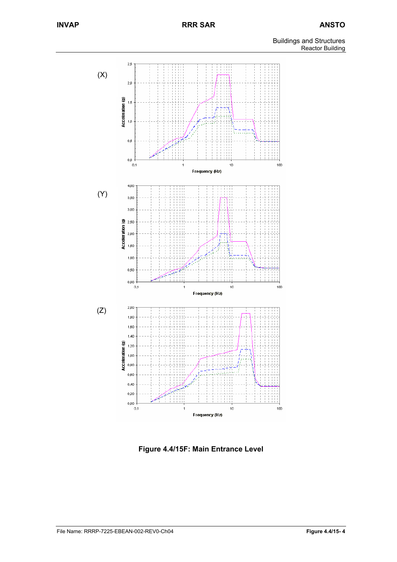

**Figure 4.4/15F: Main Entrance Level**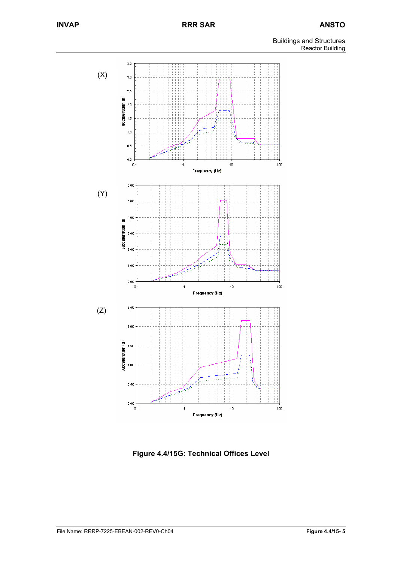

**Figure 4.4/15G: Technical Offices Level**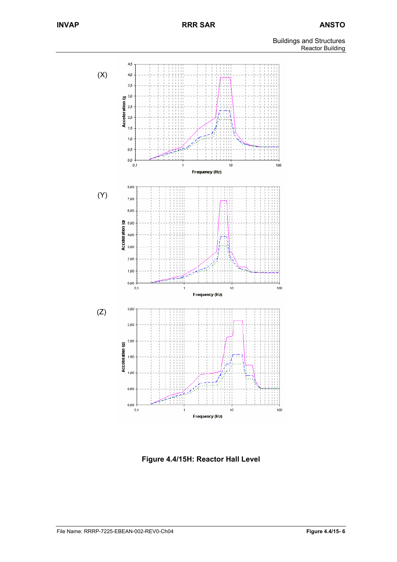

**Figure 4.4/15H: Reactor Hall Level**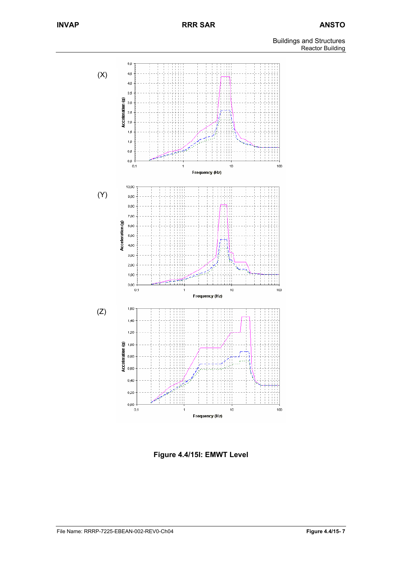

**Figure 4.4/15I: EMWT Level**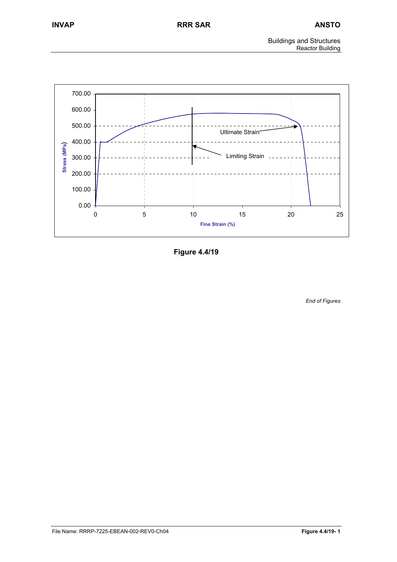

**Figure 4.4/19** 

*End of Figures*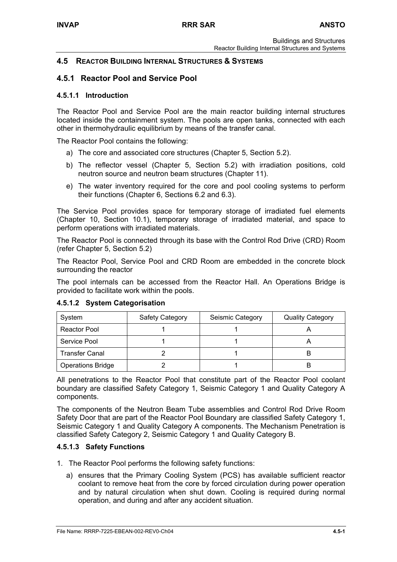# **4.5 REACTOR BUILDING INTERNAL STRUCTURES & SYSTEMS**

# **4.5.1 Reactor Pool and Service Pool**

### **4.5.1.1 Introduction**

The Reactor Pool and Service Pool are the main reactor building internal structures located inside the containment system. The pools are open tanks, connected with each other in thermohydraulic equilibrium by means of the transfer canal.

The Reactor Pool contains the following:

- a) The core and associated core structures (Chapter 5, Section 5.2).
- b) The reflector vessel (Chapter 5, Section 5.2) with irradiation positions, cold neutron source and neutron beam structures (Chapter 11).
- e) The water inventory required for the core and pool cooling systems to perform their functions (Chapter 6, Sections 6.2 and 6.3).

The Service Pool provides space for temporary storage of irradiated fuel elements (Chapter 10, Section 10.1), temporary storage of irradiated material, and space to perform operations with irradiated materials.

The Reactor Pool is connected through its base with the Control Rod Drive (CRD) Room (refer Chapter 5, Section 5.2)

The Reactor Pool, Service Pool and CRD Room are embedded in the concrete block surrounding the reactor

The pool internals can be accessed from the Reactor Hall. An Operations Bridge is provided to facilitate work within the pools.

| System                   | <b>Safety Category</b> | Seismic Category | <b>Quality Category</b> |
|--------------------------|------------------------|------------------|-------------------------|
| Reactor Pool             |                        |                  |                         |
| Service Pool             |                        |                  |                         |
| <b>Transfer Canal</b>    |                        |                  |                         |
| <b>Operations Bridge</b> |                        |                  |                         |

#### **4.5.1.2 System Categorisation**

All penetrations to the Reactor Pool that constitute part of the Reactor Pool coolant boundary are classified Safety Category 1, Seismic Category 1 and Quality Category A components.

The components of the Neutron Beam Tube assemblies and Control Rod Drive Room Safety Door that are part of the Reactor Pool Boundary are classified Safety Category 1, Seismic Category 1 and Quality Category A components. The Mechanism Penetration is classified Safety Category 2, Seismic Category 1 and Quality Category B.

#### **4.5.1.3 Safety Functions**

- 1. The Reactor Pool performs the following safety functions:
	- a) ensures that the Primary Cooling System (PCS) has available sufficient reactor coolant to remove heat from the core by forced circulation during power operation and by natural circulation when shut down. Cooling is required during normal operation, and during and after any accident situation.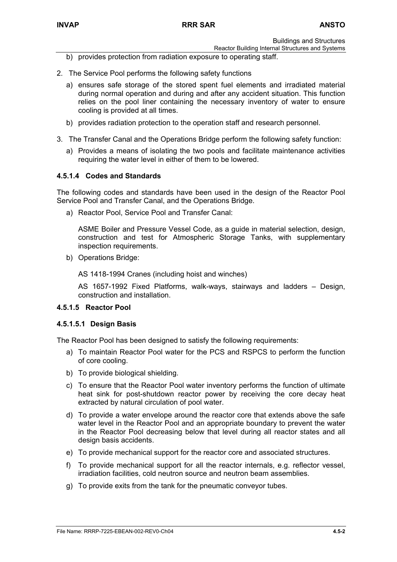- Reactor Building Internal Structures and Systems b) provides protection from radiation exposure to operating staff.
- 2. The Service Pool performs the following safety functions
	- a) ensures safe storage of the stored spent fuel elements and irradiated material during normal operation and during and after any accident situation. This function relies on the pool liner containing the necessary inventory of water to ensure cooling is provided at all times.
	- b) provides radiation protection to the operation staff and research personnel.
- 3. The Transfer Canal and the Operations Bridge perform the following safety function:
	- a) Provides a means of isolating the two pools and facilitate maintenance activities requiring the water level in either of them to be lowered.

## **4.5.1.4 Codes and Standards**

The following codes and standards have been used in the design of the Reactor Pool Service Pool and Transfer Canal, and the Operations Bridge.

a) Reactor Pool, Service Pool and Transfer Canal:

ASME Boiler and Pressure Vessel Code, as a guide in material selection, design, construction and test for Atmospheric Storage Tanks, with supplementary inspection requirements.

b) Operations Bridge:

AS 1418-1994 Cranes (including hoist and winches)

AS 1657-1992 Fixed Platforms, walk-ways, stairways and ladders – Design, construction and installation.

#### **4.5.1.5 Reactor Pool**

#### **4.5.1.5.1 Design Basis**

The Reactor Pool has been designed to satisfy the following requirements:

- a) To maintain Reactor Pool water for the PCS and RSPCS to perform the function of core cooling.
- b) To provide biological shielding.
- c) To ensure that the Reactor Pool water inventory performs the function of ultimate heat sink for post-shutdown reactor power by receiving the core decay heat extracted by natural circulation of pool water.
- d) To provide a water envelope around the reactor core that extends above the safe water level in the Reactor Pool and an appropriate boundary to prevent the water in the Reactor Pool decreasing below that level during all reactor states and all design basis accidents.
- e) To provide mechanical support for the reactor core and associated structures.
- f) To provide mechanical support for all the reactor internals, e.g. reflector vessel, irradiation facilities, cold neutron source and neutron beam assemblies.
- g) To provide exits from the tank for the pneumatic conveyor tubes.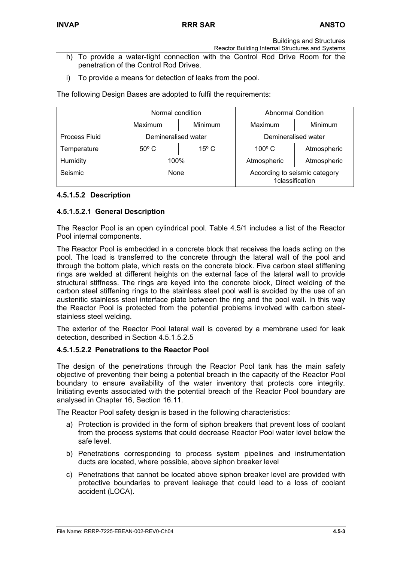- Reactor Building Internal Structures and Systems
- h) To provide a water-tight connection with the Control Rod Drive Room for the penetration of the Control Rod Drives.
- i) To provide a means for detection of leaks from the pool.

The following Design Bases are adopted to fulfil the requirements:

|               | Normal condition                 |  | <b>Abnormal Condition</b>                        |             |  |
|---------------|----------------------------------|--|--------------------------------------------------|-------------|--|
|               | Maximum<br><b>Minimum</b>        |  | Maximum                                          | Minimum     |  |
| Process Fluid | Demineralised water              |  | Demineralised water                              |             |  |
| Temperature   | $15^{\circ}$ C<br>$50^{\circ}$ C |  | $100^{\circ}$ C                                  | Atmospheric |  |
| Humidity      | 100%                             |  | Atmospheric                                      | Atmospheric |  |
| Seismic       | None                             |  | According to seismic category<br>1classification |             |  |

## **4.5.1.5.2 Description**

## **4.5.1.5.2.1 General Description**

The Reactor Pool is an open cylindrical pool. Table 4.5/1 includes a list of the Reactor Pool internal components.

The Reactor Pool is embedded in a concrete block that receives the loads acting on the pool. The load is transferred to the concrete through the lateral wall of the pool and through the bottom plate, which rests on the concrete block. Five carbon steel stiffening rings are welded at different heights on the external face of the lateral wall to provide structural stiffness. The rings are keyed into the concrete block, Direct welding of the carbon steel stiffening rings to the stainless steel pool wall is avoided by the use of an austenitic stainless steel interface plate between the ring and the pool wall. In this way the Reactor Pool is protected from the potential problems involved with carbon steelstainless steel welding.

The exterior of the Reactor Pool lateral wall is covered by a membrane used for leak detection, described in Section 4.5.1.5.2.5

## **4.5.1.5.2.2 Penetrations to the Reactor Pool**

The design of the penetrations through the Reactor Pool tank has the main safety objective of preventing their being a potential breach in the capacity of the Reactor Pool boundary to ensure availability of the water inventory that protects core integrity. Initiating events associated with the potential breach of the Reactor Pool boundary are analysed in Chapter 16, Section 16.11.

The Reactor Pool safety design is based in the following characteristics:

- a) Protection is provided in the form of siphon breakers that prevent loss of coolant from the process systems that could decrease Reactor Pool water level below the safe level.
- b) Penetrations corresponding to process system pipelines and instrumentation ducts are located, where possible, above siphon breaker level
- c) Penetrations that cannot be located above siphon breaker level are provided with protective boundaries to prevent leakage that could lead to a loss of coolant accident (LOCA).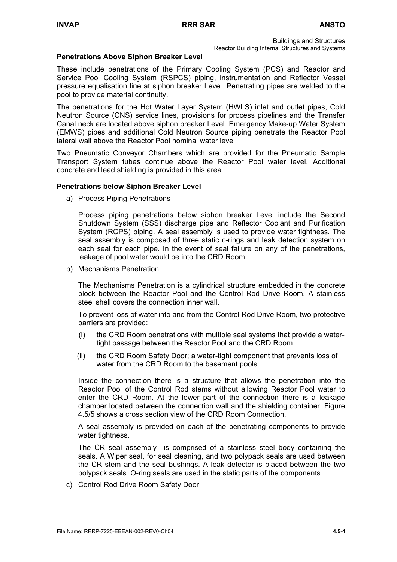#### **Penetrations Above Siphon Breaker Level**

These include penetrations of the Primary Cooling System (PCS) and Reactor and Service Pool Cooling System (RSPCS) piping, instrumentation and Reflector Vessel pressure equalisation line at siphon breaker Level. Penetrating pipes are welded to the pool to provide material continuity.

The penetrations for the Hot Water Layer System (HWLS) inlet and outlet pipes, Cold Neutron Source (CNS) service lines, provisions for process pipelines and the Transfer Canal neck are located above siphon breaker Level. Emergency Make-up Water System (EMWS) pipes and additional Cold Neutron Source piping penetrate the Reactor Pool lateral wall above the Reactor Pool nominal water level.

Two Pneumatic Conveyor Chambers which are provided for the Pneumatic Sample Transport System tubes continue above the Reactor Pool water level. Additional concrete and lead shielding is provided in this area.

#### **Penetrations below Siphon Breaker Level**

a) Process Piping Penetrations

Process piping penetrations below siphon breaker Level include the Second Shutdown System (SSS) discharge pipe and Reflector Coolant and Purification System (RCPS) piping. A seal assembly is used to provide water tightness. The seal assembly is composed of three static c-rings and leak detection system on each seal for each pipe. In the event of seal failure on any of the penetrations, leakage of pool water would be into the CRD Room.

b) Mechanisms Penetration

The Mechanisms Penetration is a cylindrical structure embedded in the concrete block between the Reactor Pool and the Control Rod Drive Room. A stainless steel shell covers the connection inner wall.

To prevent loss of water into and from the Control Rod Drive Room, two protective barriers are provided:

- (i) the CRD Room penetrations with multiple seal systems that provide a watertight passage between the Reactor Pool and the CRD Room.
- (ii) the CRD Room Safety Door; a water-tight component that prevents loss of water from the CRD Room to the basement pools.

Inside the connection there is a structure that allows the penetration into the Reactor Pool of the Control Rod stems without allowing Reactor Pool water to enter the CRD Room. At the lower part of the connection there is a leakage chamber located between the connection wall and the shielding container. Figure 4.5/5 shows a cross section view of the CRD Room Connection.

A seal assembly is provided on each of the penetrating components to provide water tightness.

The CR seal assembly is comprised of a stainless steel body containing the seals. A Wiper seal, for seal cleaning, and two polypack seals are used between the CR stem and the seal bushings. A leak detector is placed between the two polypack seals. O-ring seals are used in the static parts of the components.

c) Control Rod Drive Room Safety Door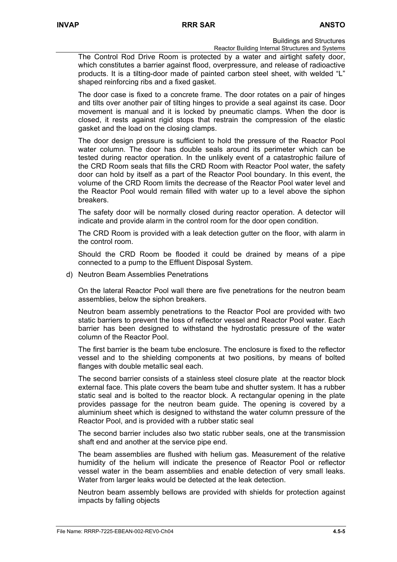Reactor Building Internal Structures and Systems

The Control Rod Drive Room is protected by a water and airtight safety door, which constitutes a barrier against flood, overpressure, and release of radioactive products. It is a tilting-door made of painted carbon steel sheet, with welded "L" shaped reinforcing ribs and a fixed gasket.

The door case is fixed to a concrete frame. The door rotates on a pair of hinges and tilts over another pair of tilting hinges to provide a seal against its case. Door movement is manual and it is locked by pneumatic clamps. When the door is closed, it rests against rigid stops that restrain the compression of the elastic gasket and the load on the closing clamps.

The door design pressure is sufficient to hold the pressure of the Reactor Pool water column. The door has double seals around its perimeter which can be tested during reactor operation. In the unlikely event of a catastrophic failure of the CRD Room seals that fills the CRD Room with Reactor Pool water, the safety door can hold by itself as a part of the Reactor Pool boundary. In this event, the volume of the CRD Room limits the decrease of the Reactor Pool water level and the Reactor Pool would remain filled with water up to a level above the siphon breakers.

The safety door will be normally closed during reactor operation. A detector will indicate and provide alarm in the control room for the door open condition.

The CRD Room is provided with a leak detection gutter on the floor, with alarm in the control room.

Should the CRD Room be flooded it could be drained by means of a pipe connected to a pump to the Effluent Disposal System.

d) Neutron Beam Assemblies Penetrations

On the lateral Reactor Pool wall there are five penetrations for the neutron beam assemblies, below the siphon breakers.

Neutron beam assembly penetrations to the Reactor Pool are provided with two static barriers to prevent the loss of reflector vessel and Reactor Pool water. Each barrier has been designed to withstand the hydrostatic pressure of the water column of the Reactor Pool.

The first barrier is the beam tube enclosure. The enclosure is fixed to the reflector vessel and to the shielding components at two positions, by means of bolted flanges with double metallic seal each.

The second barrier consists of a stainless steel closure plate at the reactor block external face. This plate covers the beam tube and shutter system. It has a rubber static seal and is bolted to the reactor block. A rectangular opening in the plate provides passage for the neutron beam guide. The opening is covered by a aluminium sheet which is designed to withstand the water column pressure of the Reactor Pool, and is provided with a rubber static seal

The second barrier includes also two static rubber seals, one at the transmission shaft end and another at the service pipe end.

The beam assemblies are flushed with helium gas. Measurement of the relative humidity of the helium will indicate the presence of Reactor Pool or reflector vessel water in the beam assemblies and enable detection of very small leaks. Water from larger leaks would be detected at the leak detection.

Neutron beam assembly bellows are provided with shields for protection against impacts by falling objects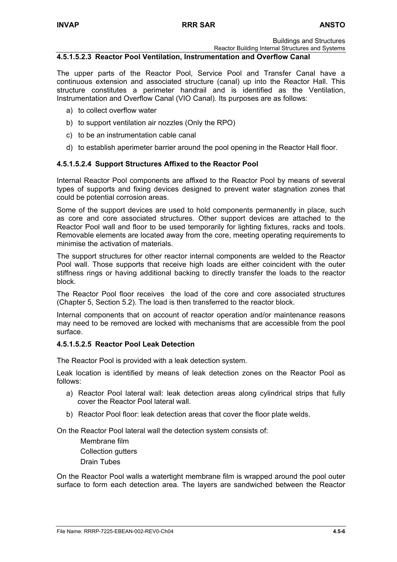Reactor Building Internal Structures and Systems

#### **4.5.1.5.2.3 Reactor Pool Ventilation, Instrumentation and Overflow Canal**

The upper parts of the Reactor Pool, Service Pool and Transfer Canal have a continuous extension and associated structure (canal) up into the Reactor Hall. This structure constitutes a perimeter handrail and is identified as the Ventilation, Instrumentation and Overflow Canal (VIO Canal). Its purposes are as follows:

- a) to collect overflow water
- b) to support ventilation air nozzles (Only the RPO)
- c) to be an instrumentation cable canal
- d) to establish aperimeter barrier around the pool opening in the Reactor Hall floor.

## **4.5.1.5.2.4 Support Structures Affixed to the Reactor Pool**

Internal Reactor Pool components are affixed to the Reactor Pool by means of several types of supports and fixing devices designed to prevent water stagnation zones that could be potential corrosion areas.

Some of the support devices are used to hold components permanently in place, such as core and core associated structures. Other support devices are attached to the Reactor Pool wall and floor to be used temporarily for lighting fixtures, racks and tools. Removable elements are located away from the core, meeting operating requirements to minimise the activation of materials.

The support structures for other reactor internal components are welded to the Reactor Pool wall. Those supports that receive high loads are either coincident with the outer stiffness rings or having additional backing to directly transfer the loads to the reactor block.

The Reactor Pool floor receives the load of the core and core associated structures (Chapter 5, Section 5.2). The load is then transferred to the reactor block.

Internal components that on account of reactor operation and/or maintenance reasons may need to be removed are locked with mechanisms that are accessible from the pool surface.

# **4.5.1.5.2.5 Reactor Pool Leak Detection**

The Reactor Pool is provided with a leak detection system.

Leak location is identified by means of leak detection zones on the Reactor Pool as follows:

- a) Reactor Pool lateral wall: leak detection areas along cylindrical strips that fully cover the Reactor Pool lateral wall.
- b) Reactor Pool floor: leak detection areas that cover the floor plate welds.

On the Reactor Pool lateral wall the detection system consists of:

Membrane film Collection gutters Drain Tubes

On the Reactor Pool walls a watertight membrane film is wrapped around the pool outer surface to form each detection area. The layers are sandwiched between the Reactor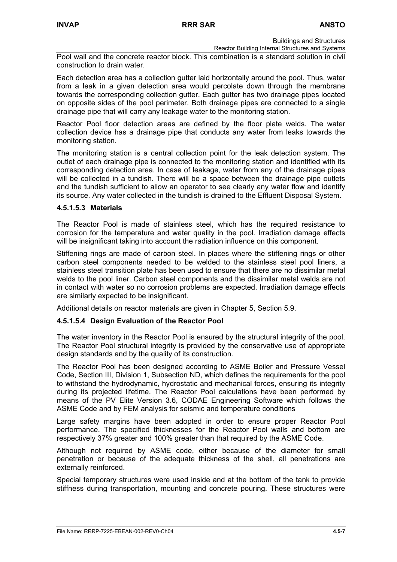Reactor Building Internal Structures and Systems Pool wall and the concrete reactor block. This combination is a standard solution in civil

construction to drain water.

Each detection area has a collection gutter laid horizontally around the pool. Thus, water from a leak in a given detection area would percolate down through the membrane towards the corresponding collection gutter. Each gutter has two drainage pipes located on opposite sides of the pool perimeter. Both drainage pipes are connected to a single drainage pipe that will carry any leakage water to the monitoring station.

Reactor Pool floor detection areas are defined by the floor plate welds. The water collection device has a drainage pipe that conducts any water from leaks towards the monitoring station.

The monitoring station is a central collection point for the leak detection system. The outlet of each drainage pipe is connected to the monitoring station and identified with its corresponding detection area. In case of leakage, water from any of the drainage pipes will be collected in a tundish. There will be a space between the drainage pipe outlets and the tundish sufficient to allow an operator to see clearly any water flow and identify its source. Any water collected in the tundish is drained to the Effluent Disposal System.

## **4.5.1.5.3 Materials**

The Reactor Pool is made of stainless steel, which has the required resistance to corrosion for the temperature and water quality in the pool. Irradiation damage effects will be insignificant taking into account the radiation influence on this component.

Stiffening rings are made of carbon steel. In places where the stiffening rings or other carbon steel components needed to be welded to the stainless steel pool liners, a stainless steel transition plate has been used to ensure that there are no dissimilar metal welds to the pool liner. Carbon steel components and the dissimilar metal welds are not in contact with water so no corrosion problems are expected. Irradiation damage effects are similarly expected to be insignificant.

Additional details on reactor materials are given in Chapter 5, Section 5.9.

# **4.5.1.5.4 Design Evaluation of the Reactor Pool**

The water inventory in the Reactor Pool is ensured by the structural integrity of the pool. The Reactor Pool structural integrity is provided by the conservative use of appropriate design standards and by the quality of its construction.

The Reactor Pool has been designed according to ASME Boiler and Pressure Vessel Code, Section III, Division 1, Subsection ND, which defines the requirements for the pool to withstand the hydrodynamic, hydrostatic and mechanical forces, ensuring its integrity during its projected lifetime. The Reactor Pool calculations have been performed by means of the PV Elite Version 3.6, CODAE Engineering Software which follows the ASME Code and by FEM analysis for seismic and temperature conditions

Large safety margins have been adopted in order to ensure proper Reactor Pool performance. The specified thicknesses for the Reactor Pool walls and bottom are respectively 37% greater and 100% greater than that required by the ASME Code.

Although not required by ASME code, either because of the diameter for small penetration or because of the adequate thickness of the shell, all penetrations are externally reinforced.

Special temporary structures were used inside and at the bottom of the tank to provide stiffness during transportation, mounting and concrete pouring. These structures were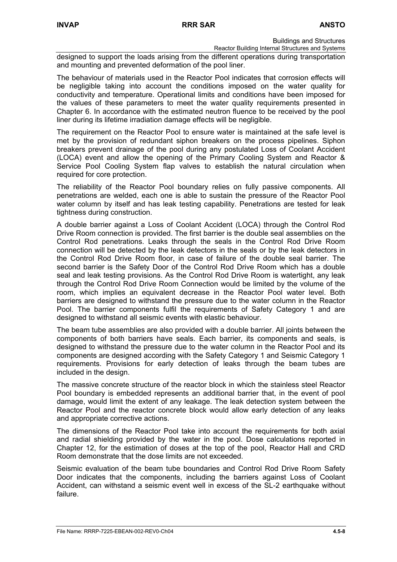Reactor Building Internal Structures and Systems

designed to support the loads arising from the different operations during transportation and mounting and prevented deformation of the pool liner.

The behaviour of materials used in the Reactor Pool indicates that corrosion effects will be negligible taking into account the conditions imposed on the water quality for conductivity and temperature. Operational limits and conditions have been imposed for the values of these parameters to meet the water quality requirements presented in Chapter 6. In accordance with the estimated neutron fluence to be received by the pool liner during its lifetime irradiation damage effects will be negligible.

The requirement on the Reactor Pool to ensure water is maintained at the safe level is met by the provision of redundant siphon breakers on the process pipelines. Siphon breakers prevent drainage of the pool during any postulated Loss of Coolant Accident (LOCA) event and allow the opening of the Primary Cooling System and Reactor & Service Pool Cooling System flap valves to establish the natural circulation when required for core protection.

The reliability of the Reactor Pool boundary relies on fully passive components. All penetrations are welded, each one is able to sustain the pressure of the Reactor Pool water column by itself and has leak testing capability. Penetrations are tested for leak tightness during construction.

A double barrier against a Loss of Coolant Accident (LOCA) through the Control Rod Drive Room connection is provided. The first barrier is the double seal assemblies on the Control Rod penetrations. Leaks through the seals in the Control Rod Drive Room connection will be detected by the leak detectors in the seals or by the leak detectors in the Control Rod Drive Room floor, in case of failure of the double seal barrier. The second barrier is the Safety Door of the Control Rod Drive Room which has a double seal and leak testing provisions. As the Control Rod Drive Room is watertight, any leak through the Control Rod Drive Room Connection would be limited by the volume of the room, which implies an equivalent decrease in the Reactor Pool water level. Both barriers are designed to withstand the pressure due to the water column in the Reactor Pool. The barrier components fulfil the requirements of Safety Category 1 and are designed to withstand all seismic events with elastic behaviour.

The beam tube assemblies are also provided with a double barrier. All joints between the components of both barriers have seals. Each barrier, its components and seals, is designed to withstand the pressure due to the water column in the Reactor Pool and its components are designed according with the Safety Category 1 and Seismic Category 1 requirements. Provisions for early detection of leaks through the beam tubes are included in the design.

The massive concrete structure of the reactor block in which the stainless steel Reactor Pool boundary is embedded represents an additional barrier that, in the event of pool damage, would limit the extent of any leakage. The leak detection system between the Reactor Pool and the reactor concrete block would allow early detection of any leaks and appropriate corrective actions.

The dimensions of the Reactor Pool take into account the requirements for both axial and radial shielding provided by the water in the pool. Dose calculations reported in Chapter 12, for the estimation of doses at the top of the pool, Reactor Hall and CRD Room demonstrate that the dose limits are not exceeded.

Seismic evaluation of the beam tube boundaries and Control Rod Drive Room Safety Door indicates that the components, including the barriers against Loss of Coolant Accident, can withstand a seismic event well in excess of the SL-2 earthquake without failure.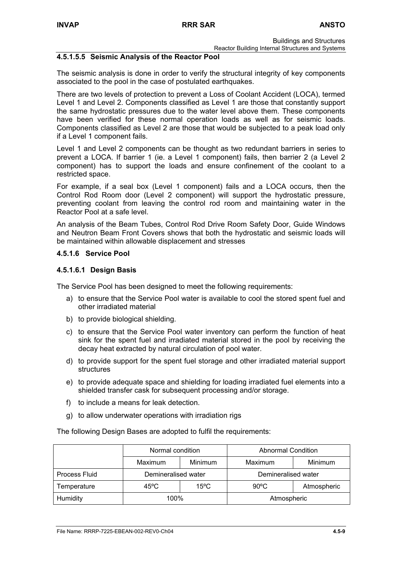Reactor Building Internal Structures and Systems

## **4.5.1.5.5 Seismic Analysis of the Reactor Pool**

The seismic analysis is done in order to verify the structural integrity of key components associated to the pool in the case of postulated earthquakes.

There are two levels of protection to prevent a Loss of Coolant Accident (LOCA), termed Level 1 and Level 2. Components classified as Level 1 are those that constantly support the same hydrostatic pressures due to the water level above them. These components have been verified for these normal operation loads as well as for seismic loads. Components classified as Level 2 are those that would be subjected to a peak load only if a Level 1 component fails.

Level 1 and Level 2 components can be thought as two redundant barriers in series to prevent a LOCA. If barrier 1 (ie. a Level 1 component) fails, then barrier 2 (a Level 2 component) has to support the loads and ensure confinement of the coolant to a restricted space.

For example, if a seal box (Level 1 component) fails and a LOCA occurs, then the Control Rod Room door (Level 2 component) will support the hydrostatic pressure, preventing coolant from leaving the control rod room and maintaining water in the Reactor Pool at a safe level.

An analysis of the Beam Tubes, Control Rod Drive Room Safety Door, Guide Windows and Neutron Beam Front Covers shows that both the hydrostatic and seismic loads will be maintained within allowable displacement and stresses

## **4.5.1.6 Service Pool**

## **4.5.1.6.1 Design Basis**

The Service Pool has been designed to meet the following requirements:

- a) to ensure that the Service Pool water is available to cool the stored spent fuel and other irradiated material
- b) to provide biological shielding.
- c) to ensure that the Service Pool water inventory can perform the function of heat sink for the spent fuel and irradiated material stored in the pool by receiving the decay heat extracted by natural circulation of pool water.
- d) to provide support for the spent fuel storage and other irradiated material support structures
- e) to provide adequate space and shielding for loading irradiated fuel elements into a shielded transfer cask for subsequent processing and/or storage.
- f) to include a means for leak detection.
- g) to allow underwater operations with irradiation rigs

The following Design Bases are adopted to fulfil the requirements:

|               | Normal condition       |         | <b>Abnormal Condition</b> |                |  |
|---------------|------------------------|---------|---------------------------|----------------|--|
|               | Maximum                | Minimum | Maximum                   | <b>Minimum</b> |  |
| Process Fluid | Demineralised water    |         | Demineralised water       |                |  |
| Temperature   | 45°C<br>$15^{\circ}$ C |         | $90^{\circ}$ C            | Atmospheric    |  |
| Humidity      | 100%                   |         | Atmospheric               |                |  |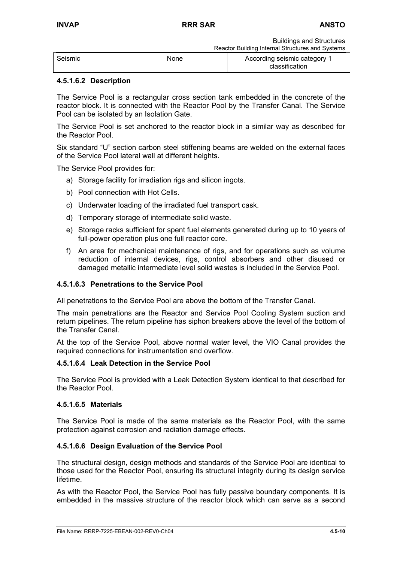Buildings and Structures Reactor Building Internal Structures and Systems

| Seismic | None | According seismic category 1<br>classification |  |
|---------|------|------------------------------------------------|--|

# **4.5.1.6.2 Description**

The Service Pool is a rectangular cross section tank embedded in the concrete of the reactor block. It is connected with the Reactor Pool by the Transfer Canal. The Service Pool can be isolated by an Isolation Gate.

The Service Pool is set anchored to the reactor block in a similar way as described for the Reactor Pool.

Six standard "U" section carbon steel stiffening beams are welded on the external faces of the Service Pool lateral wall at different heights.

The Service Pool provides for:

- a) Storage facility for irradiation rigs and silicon ingots.
- b) Pool connection with Hot Cells.
- c) Underwater loading of the irradiated fuel transport cask.
- d) Temporary storage of intermediate solid waste.
- e) Storage racks sufficient for spent fuel elements generated during up to 10 years of full-power operation plus one full reactor core.
- f) An area for mechanical maintenance of rigs, and for operations such as volume reduction of internal devices, rigs, control absorbers and other disused or damaged metallic intermediate level solid wastes is included in the Service Pool.

## **4.5.1.6.3 Penetrations to the Service Pool**

All penetrations to the Service Pool are above the bottom of the Transfer Canal.

The main penetrations are the Reactor and Service Pool Cooling System suction and return pipelines. The return pipeline has siphon breakers above the level of the bottom of the Transfer Canal.

At the top of the Service Pool, above normal water level, the VIO Canal provides the required connections for instrumentation and overflow.

#### **4.5.1.6.4 Leak Detection in the Service Pool**

The Service Pool is provided with a Leak Detection System identical to that described for the Reactor Pool.

#### **4.5.1.6.5 Materials**

The Service Pool is made of the same materials as the Reactor Pool, with the same protection against corrosion and radiation damage effects.

# **4.5.1.6.6 Design Evaluation of the Service Pool**

The structural design, design methods and standards of the Service Pool are identical to those used for the Reactor Pool, ensuring its structural integrity during its design service lifetime.

As with the Reactor Pool, the Service Pool has fully passive boundary components. It is embedded in the massive structure of the reactor block which can serve as a second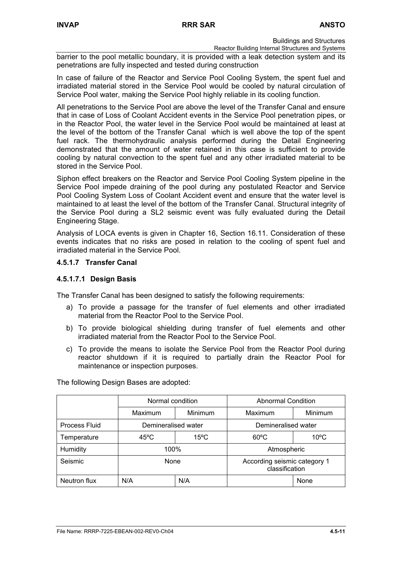Reactor Building Internal Structures and Systems

barrier to the pool metallic boundary, it is provided with a leak detection system and its penetrations are fully inspected and tested during construction

In case of failure of the Reactor and Service Pool Cooling System, the spent fuel and irradiated material stored in the Service Pool would be cooled by natural circulation of Service Pool water, making the Service Pool highly reliable in its cooling function.

All penetrations to the Service Pool are above the level of the Transfer Canal and ensure that in case of Loss of Coolant Accident events in the Service Pool penetration pipes, or in the Reactor Pool, the water level in the Service Pool would be maintained at least at the level of the bottom of the Transfer Canal which is well above the top of the spent fuel rack. The thermohydraulic analysis performed during the Detail Engineering demonstrated that the amount of water retained in this case is sufficient to provide cooling by natural convection to the spent fuel and any other irradiated material to be stored in the Service Pool.

Siphon effect breakers on the Reactor and Service Pool Cooling System pipeline in the Service Pool impede draining of the pool during any postulated Reactor and Service Pool Cooling System Loss of Coolant Accident event and ensure that the water level is maintained to at least the level of the bottom of the Transfer Canal. Structural integrity of the Service Pool during a SL2 seismic event was fully evaluated during the Detail Engineering Stage.

Analysis of LOCA events is given in Chapter 16, Section 16.11. Consideration of these events indicates that no risks are posed in relation to the cooling of spent fuel and irradiated material in the Service Pool.

## **4.5.1.7 Transfer Canal**

#### **4.5.1.7.1 Design Basis**

The Transfer Canal has been designed to satisfy the following requirements:

- a) To provide a passage for the transfer of fuel elements and other irradiated material from the Reactor Pool to the Service Pool.
- b) To provide biological shielding during transfer of fuel elements and other irradiated material from the Reactor Pool to the Service Pool.
- c) To provide the means to isolate the Service Pool from the Reactor Pool during reactor shutdown if it is required to partially drain the Reactor Pool for maintenance or inspection purposes.

The following Design Bases are adopted:

|               | Normal condition    |                | <b>Abnormal Condition</b>                      |                |  |
|---------------|---------------------|----------------|------------------------------------------------|----------------|--|
|               | Minimum<br>Maximum  |                | Maximum                                        | Minimum        |  |
| Process Fluid | Demineralised water |                | Demineralised water                            |                |  |
| Temperature   | $45^{\circ}$ C      | $15^{\circ}$ C | $60^{\circ}$ C                                 | $10^{\circ}$ C |  |
| Humidity      | 100%                |                | Atmospheric                                    |                |  |
| Seismic       | None                |                | According seismic category 1<br>classification |                |  |
| Neutron flux  | N/A<br>N/A          |                |                                                | None           |  |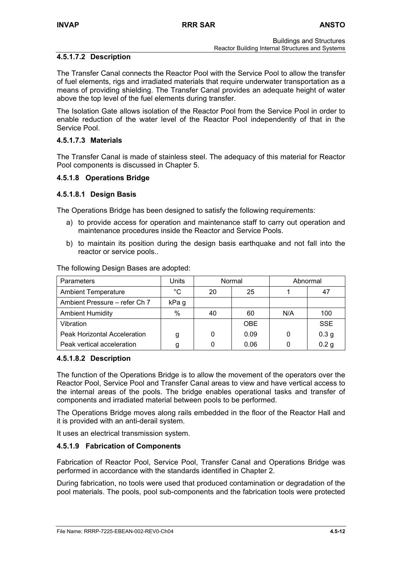# **4.5.1.7.2 Description**

The Transfer Canal connects the Reactor Pool with the Service Pool to allow the transfer of fuel elements, rigs and irradiated materials that require underwater transportation as a means of providing shielding. The Transfer Canal provides an adequate height of water above the top level of the fuel elements during transfer.

The Isolation Gate allows isolation of the Reactor Pool from the Service Pool in order to enable reduction of the water level of the Reactor Pool independently of that in the Service Pool.

## **4.5.1.7.3 Materials**

The Transfer Canal is made of stainless steel. The adequacy of this material for Reactor Pool components is discussed in Chapter 5.

## **4.5.1.8 Operations Bridge**

## **4.5.1.8.1 Design Basis**

The Operations Bridge has been designed to satisfy the following requirements:

- a) to provide access for operation and maintenance staff to carry out operation and maintenance procedures inside the Reactor and Service Pools.
- b) to maintain its position during the design basis earthquake and not fall into the reactor or service pools..

The following Design Bases are adopted:

| Parameters                          | Units       | Normal |            | Abnormal |                  |
|-------------------------------------|-------------|--------|------------|----------|------------------|
| <b>Ambient Temperature</b>          | $^{\circ}C$ | 20     | 25         |          | 47               |
| Ambient Pressure – refer Ch 7       | kPa g       |        |            |          |                  |
| <b>Ambient Humidity</b>             | $\%$        | 40     | 60         | N/A      | 100              |
| Vibration                           |             |        | <b>OBE</b> |          | <b>SSE</b>       |
| <b>Peak Horizontal Acceleration</b> | g           | 0      | 0.09       | 0        | 0.3 <sub>g</sub> |
| Peak vertical acceleration          |             |        | 0.06       |          | 0.2 <sub>g</sub> |

#### **4.5.1.8.2 Description**

The function of the Operations Bridge is to allow the movement of the operators over the Reactor Pool, Service Pool and Transfer Canal areas to view and have vertical access to the internal areas of the pools. The bridge enables operational tasks and transfer of components and irradiated material between pools to be performed.

The Operations Bridge moves along rails embedded in the floor of the Reactor Hall and it is provided with an anti-derail system.

It uses an electrical transmission system.

#### **4.5.1.9 Fabrication of Components**

Fabrication of Reactor Pool, Service Pool, Transfer Canal and Operations Bridge was performed in accordance with the standards identified in Chapter 2.

During fabrication, no tools were used that produced contamination or degradation of the pool materials. The pools, pool sub-components and the fabrication tools were protected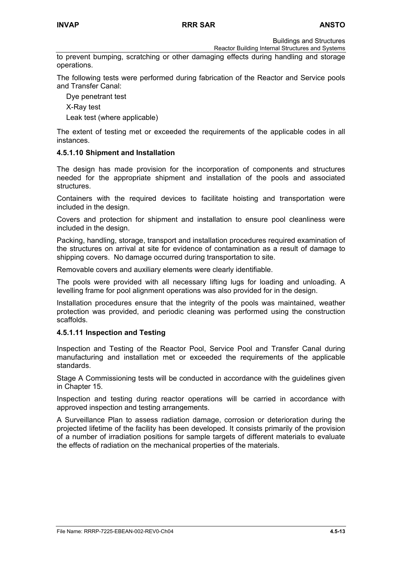Reactor Building Internal Structures and Systems

to prevent bumping, scratching or other damaging effects during handling and storage operations.

The following tests were performed during fabrication of the Reactor and Service pools and Transfer Canal:

Dye penetrant test

X-Ray test

Leak test (where applicable)

The extent of testing met or exceeded the requirements of the applicable codes in all instances.

#### **4.5.1.10 Shipment and Installation**

The design has made provision for the incorporation of components and structures needed for the appropriate shipment and installation of the pools and associated structures.

Containers with the required devices to facilitate hoisting and transportation were included in the design.

Covers and protection for shipment and installation to ensure pool cleanliness were included in the design.

Packing, handling, storage, transport and installation procedures required examination of the structures on arrival at site for evidence of contamination as a result of damage to shipping covers. No damage occurred during transportation to site.

Removable covers and auxiliary elements were clearly identifiable.

The pools were provided with all necessary lifting lugs for loading and unloading. A levelling frame for pool alignment operations was also provided for in the design.

Installation procedures ensure that the integrity of the pools was maintained, weather protection was provided, and periodic cleaning was performed using the construction scaffolds.

#### **4.5.1.11 Inspection and Testing**

Inspection and Testing of the Reactor Pool, Service Pool and Transfer Canal during manufacturing and installation met or exceeded the requirements of the applicable standards.

Stage A Commissioning tests will be conducted in accordance with the guidelines given in Chapter 15.

Inspection and testing during reactor operations will be carried in accordance with approved inspection and testing arrangements.

A Surveillance Plan to assess radiation damage, corrosion or deterioration during the projected lifetime of the facility has been developed. It consists primarily of the provision of a number of irradiation positions for sample targets of different materials to evaluate the effects of radiation on the mechanical properties of the materials.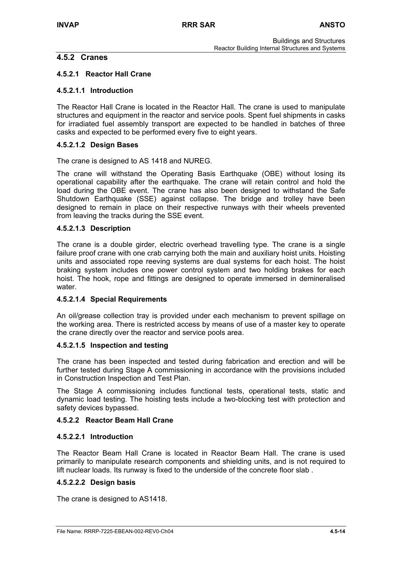# **4.5.2 Cranes**

# **4.5.2.1 Reactor Hall Crane**

## **4.5.2.1.1 Introduction**

The Reactor Hall Crane is located in the Reactor Hall. The crane is used to manipulate structures and equipment in the reactor and service pools. Spent fuel shipments in casks for irradiated fuel assembly transport are expected to be handled in batches of three casks and expected to be performed every five to eight years.

## **4.5.2.1.2 Design Bases**

The crane is designed to AS 1418 and NUREG.

The crane will withstand the Operating Basis Earthquake (OBE) without losing its operational capability after the earthquake. The crane will retain control and hold the load during the OBE event. The crane has also been designed to withstand the Safe Shutdown Earthquake (SSE) against collapse. The bridge and trolley have been designed to remain in place on their respective runways with their wheels prevented from leaving the tracks during the SSE event.

#### **4.5.2.1.3 Description**

The crane is a double girder, electric overhead travelling type. The crane is a single failure proof crane with one crab carrying both the main and auxiliary hoist units. Hoisting units and associated rope reeving systems are dual systems for each hoist. The hoist braking system includes one power control system and two holding brakes for each hoist. The hook, rope and fittings are designed to operate immersed in demineralised water.

# **4.5.2.1.4 Special Requirements**

An oil/grease collection tray is provided under each mechanism to prevent spillage on the working area. There is restricted access by means of use of a master key to operate the crane directly over the reactor and service pools area.

#### **4.5.2.1.5 Inspection and testing**

The crane has been inspected and tested during fabrication and erection and will be further tested during Stage A commissioning in accordance with the provisions included in Construction Inspection and Test Plan.

The Stage A commissioning includes functional tests, operational tests, static and dynamic load testing. The hoisting tests include a two-blocking test with protection and safety devices bypassed.

#### **4.5.2.2 Reactor Beam Hall Crane**

#### **4.5.2.2.1 Introduction**

The Reactor Beam Hall Crane is located in Reactor Beam Hall. The crane is used primarily to manipulate research components and shielding units, and is not required to lift nuclear loads. Its runway is fixed to the underside of the concrete floor slab .

#### **4.5.2.2.2 Design basis**

The crane is designed to AS1418.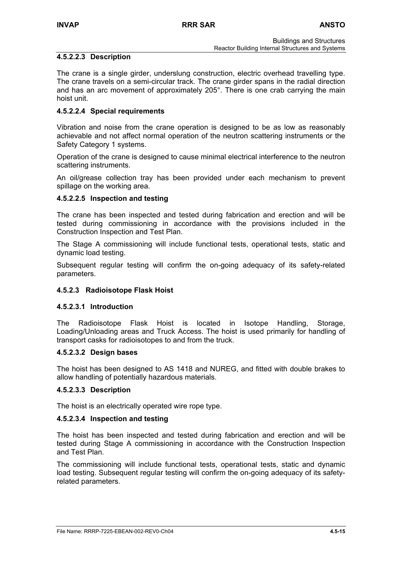## **4.5.2.2.3 Description**

The crane is a single girder, underslung construction, electric overhead travelling type. The crane travels on a semi-circular track. The crane girder spans in the radial direction and has an arc movement of approximately 205°. There is one crab carrying the main hoist unit.

## **4.5.2.2.4 Special requirements**

Vibration and noise from the crane operation is designed to be as low as reasonably achievable and not affect normal operation of the neutron scattering instruments or the Safety Category 1 systems.

Operation of the crane is designed to cause minimal electrical interference to the neutron scattering instruments.

An oil/grease collection tray has been provided under each mechanism to prevent spillage on the working area.

## **4.5.2.2.5 Inspection and testing**

The crane has been inspected and tested during fabrication and erection and will be tested during commissioning in accordance with the provisions included in the Construction Inspection and Test Plan.

The Stage A commissioning will include functional tests, operational tests, static and dynamic load testing.

Subsequent regular testing will confirm the on-going adequacy of its safety-related parameters.

#### **4.5.2.3 Radioisotope Flask Hoist**

### **4.5.2.3.1 Introduction**

The Radioisotope Flask Hoist is located in Isotope Handling, Storage, Loading/Unloading areas and Truck Access. The hoist is used primarily for handling of transport casks for radioisotopes to and from the truck.

#### **4.5.2.3.2 Design bases**

The hoist has been designed to AS 1418 and NUREG, and fitted with double brakes to allow handling of potentially hazardous materials.

#### **4.5.2.3.3 Description**

The hoist is an electrically operated wire rope type.

#### **4.5.2.3.4 Inspection and testing**

The hoist has been inspected and tested during fabrication and erection and will be tested during Stage A commissioning in accordance with the Construction Inspection and Test Plan.

The commissioning will include functional tests, operational tests, static and dynamic load testing. Subsequent regular testing will confirm the on-going adequacy of its safetyrelated parameters.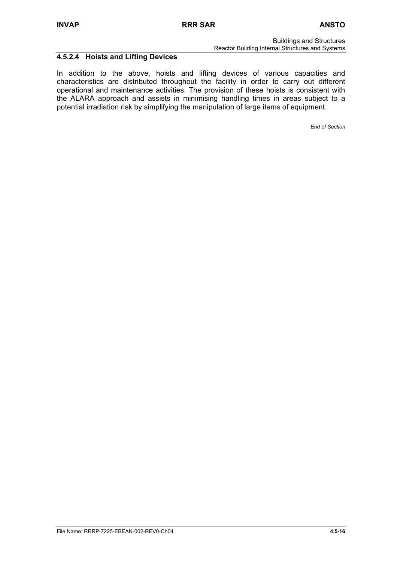Reactor Building Internal Structures and Systems

# **4.5.2.4 Hoists and Lifting Devices**

In addition to the above, hoists and lifting devices of various capacities and characteristics are distributed throughout the facility in order to carry out different operational and maintenance activities. The provision of these hoists is consistent with the ALARA approach and assists in minimising handling times in areas subject to a potential irradiation risk by simplifying the manipulation of large items of equipment.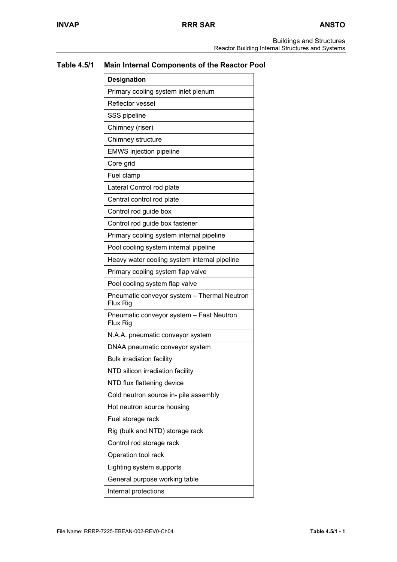# **Table 4.5/1 Main Internal Components of the Reactor Pool**

| <b>Designation</b>                                      |  |  |
|---------------------------------------------------------|--|--|
| Primary cooling system inlet plenum                     |  |  |
| Reflector vessel                                        |  |  |
| SSS pipeline                                            |  |  |
| Chimney (riser)                                         |  |  |
| Chimney structure                                       |  |  |
| <b>EMWS</b> injection pipeline                          |  |  |
| Core grid                                               |  |  |
| Fuel clamp                                              |  |  |
| Lateral Control rod plate                               |  |  |
| Central control rod plate                               |  |  |
| Control rod guide box                                   |  |  |
| Control rod guide box fastener                          |  |  |
| Primary cooling system internal pipeline                |  |  |
| Pool cooling system internal pipeline                   |  |  |
| Heavy water cooling system internal pipeline            |  |  |
| Primary cooling system flap valve                       |  |  |
| Pool cooling system flap valve                          |  |  |
| Pneumatic conveyor system - Thermal Neutron<br>Flux Rig |  |  |
| Pneumatic conveyor system - Fast Neutron<br>Flux Rig    |  |  |
| N.A.A. pneumatic conveyor system                        |  |  |
| DNAA pneumatic conveyor system                          |  |  |
| <b>Bulk irradiation facility</b>                        |  |  |
| NTD silicon irradiation facility                        |  |  |
| NTD flux flattening device                              |  |  |
| Cold neutron source in- pile assembly                   |  |  |
| Hot neutron source housing                              |  |  |
| Fuel storage rack                                       |  |  |
| Rig (bulk and NTD) storage rack                         |  |  |
| Control rod storage rack                                |  |  |
| Operation tool rack                                     |  |  |
| Lighting system supports                                |  |  |
| General purpose working table                           |  |  |
| Internal protections                                    |  |  |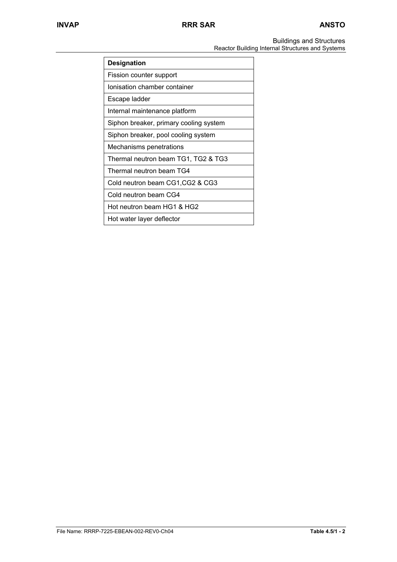Buildings and Structures Reactor Building Internal Structures and Systems

| <b>Designation</b>                     |  |  |
|----------------------------------------|--|--|
| Fission counter support                |  |  |
| Ionisation chamber container           |  |  |
| Escape ladder                          |  |  |
| Internal maintenance platform          |  |  |
| Siphon breaker, primary cooling system |  |  |
| Siphon breaker, pool cooling system    |  |  |
| Mechanisms penetrations                |  |  |
| Thermal neutron beam TG1, TG2 & TG3    |  |  |
| Thermal neutron beam TG4               |  |  |
| Cold neutron beam CG1, CG2 & CG3       |  |  |
| Cold neutron beam CG4                  |  |  |
| Hot neutron beam HG1 & HG2             |  |  |
| Hot water layer deflector              |  |  |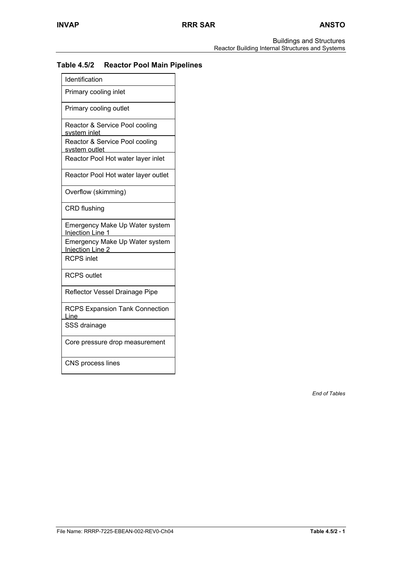# **Table 4.5/2 Reactor Pool Main Pipelines**

| Identification                                            |
|-----------------------------------------------------------|
| Primary cooling inlet                                     |
| Primary cooling outlet                                    |
| Reactor & Service Pool cooling<br>system inlet            |
| Reactor & Service Pool cooling<br>system outlet           |
| Reactor Pool Hot water layer inlet                        |
| Reactor Pool Hot water layer outlet                       |
| Overflow (skimming)                                       |
| <b>CRD</b> flushing                                       |
| Emergency Make Up Water system<br><b>Injection Line 1</b> |
| Emergency Make Up Water system<br>Injection Line 2        |
| <b>RCPS inlet</b>                                         |
| <b>RCPS outlet</b>                                        |
| Reflector Vessel Drainage Pipe                            |
| <b>RCPS Expansion Tank Connection</b><br>Line             |
| SSS drainage                                              |
| Core pressure drop measurement                            |
| CNS process lines                                         |

*End of Tables*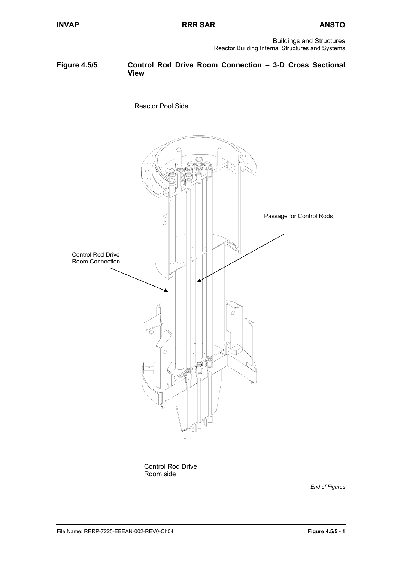

Control Rod Drive Room side

*End of Figures*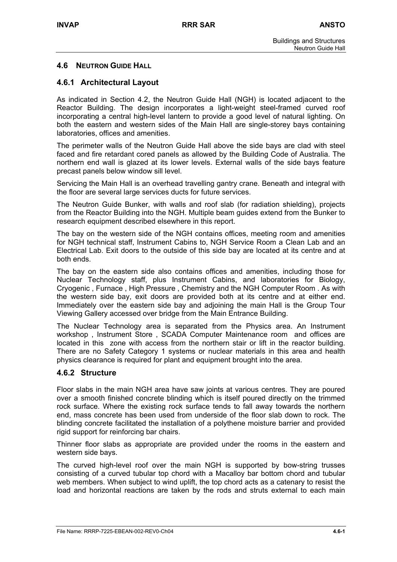# **4.6 NEUTRON GUIDE HALL**

# **4.6.1 Architectural Layout**

As indicated in Section 4.2, the Neutron Guide Hall (NGH) is located adjacent to the Reactor Building. The design incorporates a light-weight steel-framed curved roof incorporating a central high-level lantern to provide a good level of natural lighting. On both the eastern and western sides of the Main Hall are single-storey bays containing laboratories, offices and amenities.

The perimeter walls of the Neutron Guide Hall above the side bays are clad with steel faced and fire retardant cored panels as allowed by the Building Code of Australia. The northern end wall is glazed at its lower levels. External walls of the side bays feature precast panels below window sill level.

Servicing the Main Hall is an overhead travelling gantry crane. Beneath and integral with the floor are several large services ducts for future services.

The Neutron Guide Bunker, with walls and roof slab (for radiation shielding), projects from the Reactor Building into the NGH. Multiple beam guides extend from the Bunker to research equipment described elsewhere in this report.

The bay on the western side of the NGH contains offices, meeting room and amenities for NGH technical staff, Instrument Cabins to, NGH Service Room a Clean Lab and an Electrical Lab. Exit doors to the outside of this side bay are located at its centre and at both ends.

The bay on the eastern side also contains offices and amenities, including those for Nuclear Technology staff, plus Instrument Cabins, and laboratories for Biology, Cryogenic , Furnace , High Pressure , Chemistry and the NGH Computer Room . As with the western side bay, exit doors are provided both at its centre and at either end. Immediately over the eastern side bay and adjoining the main Hall is the Group Tour Viewing Gallery accessed over bridge from the Main Entrance Building.

The Nuclear Technology area is separated from the Physics area. An Instrument workshop , Instrument Store , SCADA Computer Maintenance room and offices are located in this zone with access from the northern stair or lift in the reactor building. There are no Safety Category 1 systems or nuclear materials in this area and health physics clearance is required for plant and equipment brought into the area.

# **4.6.2 Structure**

Floor slabs in the main NGH area have saw joints at various centres. They are poured over a smooth finished concrete blinding which is itself poured directly on the trimmed rock surface. Where the existing rock surface tends to fall away towards the northern end, mass concrete has been used from underside of the floor slab down to rock. The blinding concrete facilitated the installation of a polythene moisture barrier and provided rigid support for reinforcing bar chairs.

Thinner floor slabs as appropriate are provided under the rooms in the eastern and western side bays.

The curved high-level roof over the main NGH is supported by bow-string trusses consisting of a curved tubular top chord with a Macalloy bar bottom chord and tubular web members. When subject to wind uplift, the top chord acts as a catenary to resist the load and horizontal reactions are taken by the rods and struts external to each main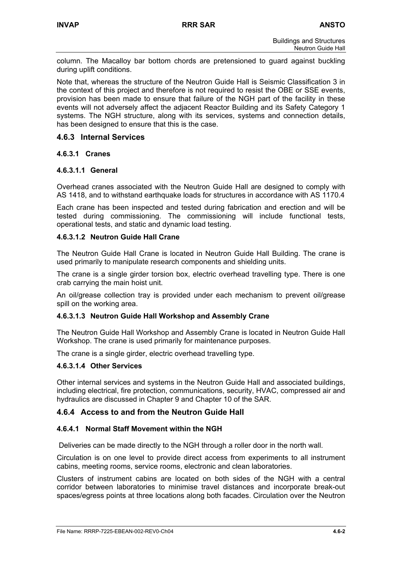column. The Macalloy bar bottom chords are pretensioned to guard against buckling during uplift conditions.

Note that, whereas the structure of the Neutron Guide Hall is Seismic Classification 3 in the context of this project and therefore is not required to resist the OBE or SSE events, provision has been made to ensure that failure of the NGH part of the facility in these events will not adversely affect the adjacent Reactor Building and its Safety Category 1 systems. The NGH structure, along with its services, systems and connection details, has been designed to ensure that this is the case.

# **4.6.3 Internal Services**

## **4.6.3.1 Cranes**

#### **4.6.3.1.1 General**

Overhead cranes associated with the Neutron Guide Hall are designed to comply with AS 1418, and to withstand earthquake loads for structures in accordance with AS 1170.4

Each crane has been inspected and tested during fabrication and erection and will be tested during commissioning. The commissioning will include functional tests, operational tests, and static and dynamic load testing.

## **4.6.3.1.2 Neutron Guide Hall Crane**

The Neutron Guide Hall Crane is located in Neutron Guide Hall Building. The crane is used primarily to manipulate research components and shielding units.

The crane is a single girder torsion box, electric overhead travelling type. There is one crab carrying the main hoist unit.

An oil/grease collection tray is provided under each mechanism to prevent oil/grease spill on the working area.

#### **4.6.3.1.3 Neutron Guide Hall Workshop and Assembly Crane**

The Neutron Guide Hall Workshop and Assembly Crane is located in Neutron Guide Hall Workshop. The crane is used primarily for maintenance purposes.

The crane is a single girder, electric overhead travelling type.

#### **4.6.3.1.4 Other Services**

Other internal services and systems in the Neutron Guide Hall and associated buildings, including electrical, fire protection, communications, security, HVAC, compressed air and hydraulics are discussed in Chapter 9 and Chapter 10 of the SAR.

# **4.6.4 Access to and from the Neutron Guide Hall**

#### **4.6.4.1 Normal Staff Movement within the NGH**

Deliveries can be made directly to the NGH through a roller door in the north wall.

Circulation is on one level to provide direct access from experiments to all instrument cabins, meeting rooms, service rooms, electronic and clean laboratories.

Clusters of instrument cabins are located on both sides of the NGH with a central corridor between laboratories to minimise travel distances and incorporate break-out spaces/egress points at three locations along both facades. Circulation over the Neutron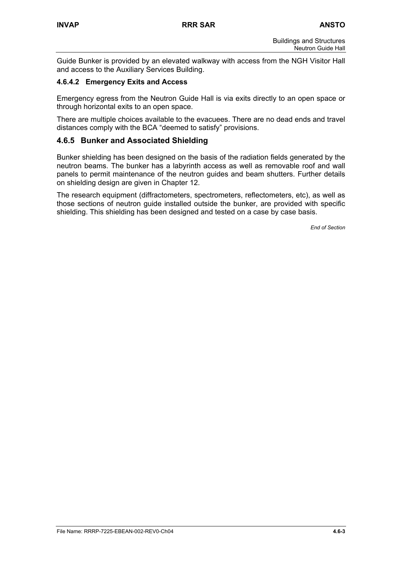Guide Bunker is provided by an elevated walkway with access from the NGH Visitor Hall and access to the Auxiliary Services Building.

## **4.6.4.2 Emergency Exits and Access**

Emergency egress from the Neutron Guide Hall is via exits directly to an open space or through horizontal exits to an open space.

There are multiple choices available to the evacuees. There are no dead ends and travel distances comply with the BCA "deemed to satisfy" provisions.

# **4.6.5 Bunker and Associated Shielding**

Bunker shielding has been designed on the basis of the radiation fields generated by the neutron beams. The bunker has a labyrinth access as well as removable roof and wall panels to permit maintenance of the neutron guides and beam shutters. Further details on shielding design are given in Chapter 12.

The research equipment (diffractometers, spectrometers, reflectometers, etc), as well as those sections of neutron guide installed outside the bunker, are provided with specific shielding. This shielding has been designed and tested on a case by case basis.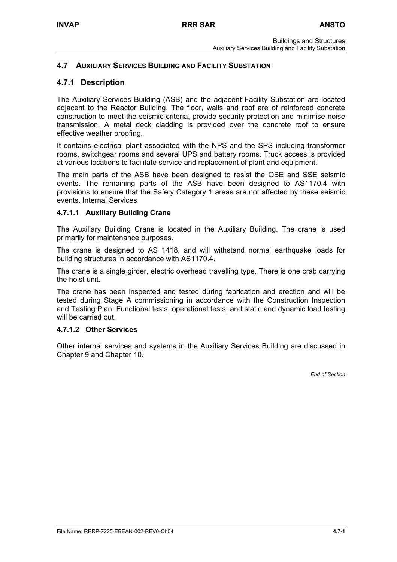# **4.7 AUXILIARY SERVICES BUILDING AND FACILITY SUBSTATION**

# **4.7.1 Description**

The Auxiliary Services Building (ASB) and the adjacent Facility Substation are located adjacent to the Reactor Building. The floor, walls and roof are of reinforced concrete construction to meet the seismic criteria, provide security protection and minimise noise transmission. A metal deck cladding is provided over the concrete roof to ensure effective weather proofing.

It contains electrical plant associated with the NPS and the SPS including transformer rooms, switchgear rooms and several UPS and battery rooms. Truck access is provided at various locations to facilitate service and replacement of plant and equipment.

The main parts of the ASB have been designed to resist the OBE and SSE seismic events. The remaining parts of the ASB have been designed to AS1170.4 with provisions to ensure that the Safety Category 1 areas are not affected by these seismic events. Internal Services

## **4.7.1.1 Auxiliary Building Crane**

The Auxiliary Building Crane is located in the Auxiliary Building. The crane is used primarily for maintenance purposes.

The crane is designed to AS 1418, and will withstand normal earthquake loads for building structures in accordance with AS1170.4.

The crane is a single girder, electric overhead travelling type. There is one crab carrying the hoist unit.

The crane has been inspected and tested during fabrication and erection and will be tested during Stage A commissioning in accordance with the Construction Inspection and Testing Plan. Functional tests, operational tests, and static and dynamic load testing will be carried out.

#### **4.7.1.2 Other Services**

Other internal services and systems in the Auxiliary Services Building are discussed in Chapter 9 and Chapter 10.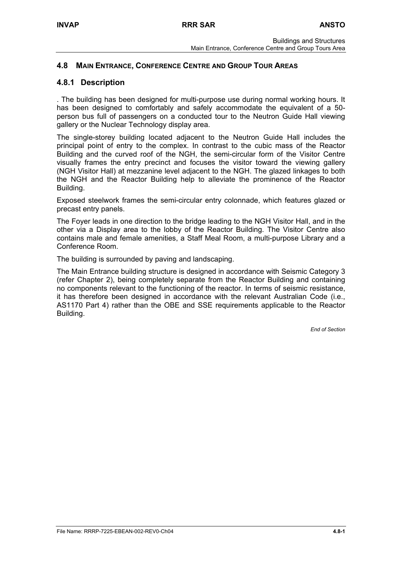# **4.8 MAIN ENTRANCE, CONFERENCE CENTRE AND GROUP TOUR AREAS**

# **4.8.1 Description**

. The building has been designed for multi-purpose use during normal working hours. It has been designed to comfortably and safely accommodate the equivalent of a 50 person bus full of passengers on a conducted tour to the Neutron Guide Hall viewing gallery or the Nuclear Technology display area.

The single-storey building located adjacent to the Neutron Guide Hall includes the principal point of entry to the complex. In contrast to the cubic mass of the Reactor Building and the curved roof of the NGH, the semi-circular form of the Visitor Centre visually frames the entry precinct and focuses the visitor toward the viewing gallery (NGH Visitor Hall) at mezzanine level adjacent to the NGH. The glazed linkages to both the NGH and the Reactor Building help to alleviate the prominence of the Reactor Building.

Exposed steelwork frames the semi-circular entry colonnade, which features glazed or precast entry panels.

The Foyer leads in one direction to the bridge leading to the NGH Visitor Hall, and in the other via a Display area to the lobby of the Reactor Building. The Visitor Centre also contains male and female amenities, a Staff Meal Room, a multi-purpose Library and a Conference Room.

The building is surrounded by paving and landscaping.

The Main Entrance building structure is designed in accordance with Seismic Category 3 (refer Chapter 2), being completely separate from the Reactor Building and containing no components relevant to the functioning of the reactor. In terms of seismic resistance, it has therefore been designed in accordance with the relevant Australian Code (i.e., AS1170 Part 4) rather than the OBE and SSE requirements applicable to the Reactor Building.